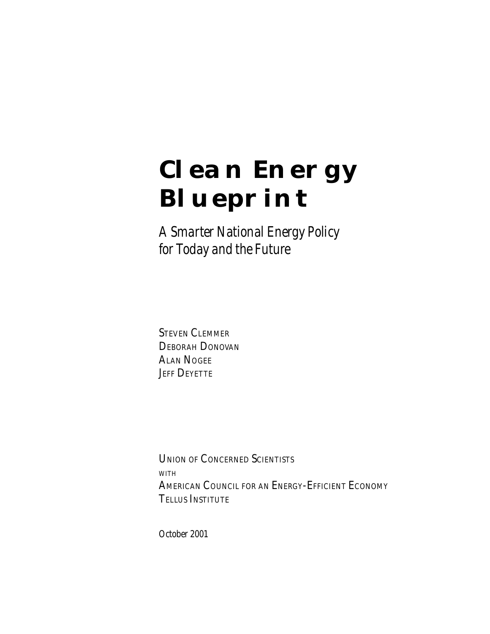# **Clean Energy Blueprint**

*A Smarter National Energy Policy for Today and the Future*

STEVEN CLEMMER DEBORAH DONOVAN ALAN NOGEE **JEFF DEYETTE** 

UNION OF CONCERNED SCIENTISTS WITH AMERICAN COUNCIL FOR AN ENERGY-EFFICIENT ECONOMY TELLUS INSTITUTE

*October 2001*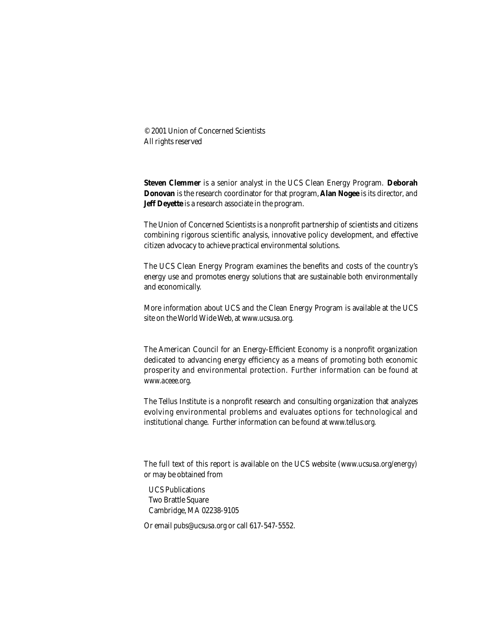© 2001 Union of Concerned Scientists All rights reserved

**Steven Clemmer** is a senior analyst in the UCS Clean Energy Program. **Deborah Donovan** is the research coordinator for that program, **Alan Nogee** is its director, and **Jeff Deyette** is a research associate in the program.

The Union of Concerned Scientists is a nonprofit partnership of scientists and citizens combining rigorous scientific analysis, innovative policy development, and effective citizen advocacy to achieve practical environmental solutions.

The UCS Clean Energy Program examines the benefits and costs of the country's energy use and promotes energy solutions that are sustainable both environmentally and economically.

More information about UCS and the Clean Energy Program is available at the UCS site on the World Wide Web, at *www.ucsusa.org.*

The American Council for an Energy-Efficient Economy is a nonprofit organization dedicated to advancing energy efficiency as a means of promoting both economic prosperity and environmental protection. Further information can be found at *www.aceee.org.*

The Tellus Institute is a nonprofit research and consulting organization that analyzes evolving environmental problems and evaluates options for technological and institutional change. Further information can be found at *www.tellus.org.*

The full text of this report is available on the UCS website (*www.ucsusa.org/energy)*  or may be obtained from

 UCS Publications Two Brattle Square Cambridge, MA 02238-9105

Or email *pubs@ucsusa.org* or call 617-547-5552.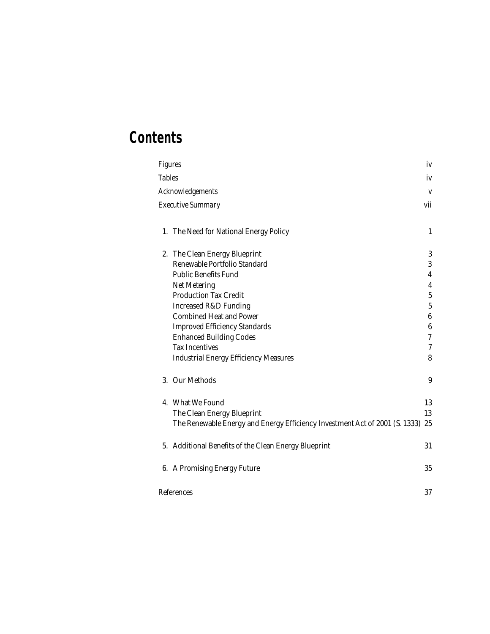## **Contents**

| <b>Figures</b> |                                                                             | iv               |
|----------------|-----------------------------------------------------------------------------|------------------|
| <b>Tables</b>  |                                                                             | iv               |
|                | Acknowledgements                                                            | V                |
|                | <b>Executive Summary</b>                                                    | vii              |
|                | 1. The Need for National Energy Policy                                      | 1                |
|                | 2. The Clean Energy Blueprint                                               | 3                |
|                | Renewable Portfolio Standard                                                | 3                |
|                | <b>Public Benefits Fund</b>                                                 | $\boldsymbol{4}$ |
|                | Net Metering                                                                | $\boldsymbol{4}$ |
|                | <b>Production Tax Credit</b>                                                | $\bf 5$          |
|                | <b>Increased R&amp;D Funding</b>                                            | $\overline{5}$   |
|                | <b>Combined Heat and Power</b>                                              | $\boldsymbol{6}$ |
|                | <b>Improved Efficiency Standards</b>                                        | $\boldsymbol{6}$ |
|                | <b>Enhanced Building Codes</b>                                              | $\rm 7$          |
|                | <b>Tax Incentives</b>                                                       | $\tau$           |
|                | <b>Industrial Energy Efficiency Measures</b>                                | 8                |
|                | 3. Our Methods                                                              | 9                |
|                | 4. What We Found                                                            | 13               |
|                | The Clean Energy Blueprint                                                  | 13               |
|                | The Renewable Energy and Energy Efficiency Investment Act of 2001 (S. 1333) | 25               |
|                | 5. Additional Benefits of the Clean Energy Blueprint                        | 31               |
|                | 6. A Promising Energy Future                                                | 35               |
|                | References                                                                  | 37               |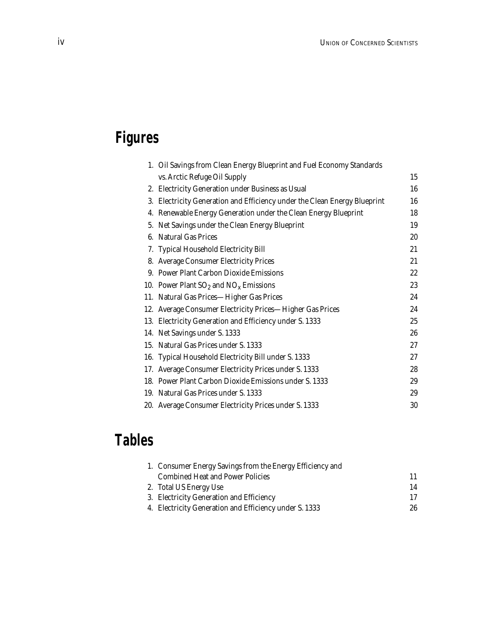## **Figures**

|    | 1. Oil Savings from Clean Energy Blueprint and Fuel Economy Standards  |        |
|----|------------------------------------------------------------------------|--------|
|    | vs. Arctic Refuge Oil Supply                                           | 15     |
|    | 2. Electricity Generation under Business as Usual                      | 16     |
| 3. | Electricity Generation and Efficiency under the Clean Energy Blueprint | 16     |
| 4. | Renewable Energy Generation under the Clean Energy Blueprint           | 18     |
|    | 5. Net Savings under the Clean Energy Blueprint                        | 19     |
| 6. | <b>Natural Gas Prices</b>                                              | 20     |
|    | 7. Typical Household Electricity Bill                                  | 21     |
|    | 8. Average Consumer Electricity Prices                                 | 21     |
|    | 9. Power Plant Carbon Dioxide Emissions                                | $22\,$ |
|    | 10. Power Plant $SO_2$ and $NO_x$ Emissions                            | 23     |
|    | 11. Natural Gas Prices-Higher Gas Prices                               | 24     |
|    | 12. Average Consumer Electricity Prices—Higher Gas Prices              | 24     |
|    | 13. Electricity Generation and Efficiency under S. 1333                | 25     |
|    | 14. Net Savings under S. 1333                                          | 26     |
|    | 15. Natural Gas Prices under S. 1333                                   | 27     |
|    | 16. Typical Household Electricity Bill under S. 1333                   | 27     |
|    | 17. Average Consumer Electricity Prices under S. 1333                  | 28     |
|    | 18. Power Plant Carbon Dioxide Emissions under S. 1333                 | 29     |
|    | 19. Natural Gas Prices under S. 1333                                   | 29     |
|    | 20. Average Consumer Electricity Prices under S. 1333                  | 30     |

## **Tables**

| 1. Consumer Energy Savings from the Energy Efficiency and |    |
|-----------------------------------------------------------|----|
| <b>Combined Heat and Power Policies</b>                   | 11 |
| 2. Total US Energy Use                                    | 14 |
| 3. Electricity Generation and Efficiency                  | 17 |
| 4. Electricity Generation and Efficiency under S. 1333    | 26 |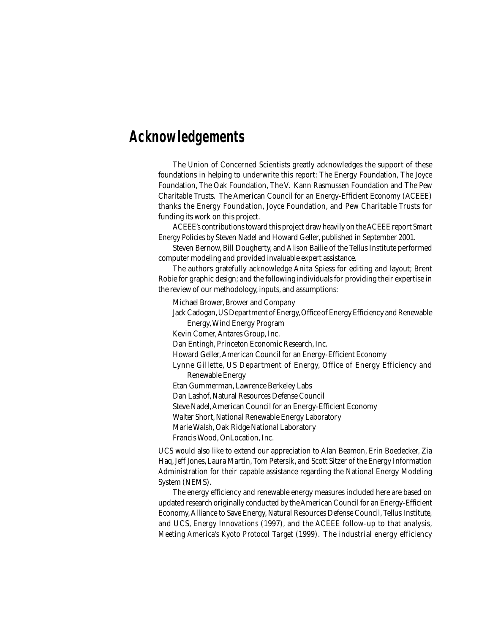## **Acknowledgements**

The Union of Concerned Scientists greatly acknowledges the support of these foundations in helping to underwrite this report: The Energy Foundation, The Joyce Foundation, The Oak Foundation, The V. Kann Rasmussen Foundation and The Pew Charitable Trusts. The American Council for an Energy-Efficient Economy (ACEEE) thanks the Energy Foundation, Joyce Foundation, and Pew Charitable Trusts for funding its work on this project.

ACEEE's contributions toward this project draw heavily on the ACEEE report *Smart Energy Policies* by Steven Nadel and Howard Geller, published in September 2001.

Steven Bernow, Bill Dougherty, and Alison Bailie of the Tellus Institute performed computer modeling and provided invaluable expert assistance.

The authors gratefully acknowledge Anita Spiess for editing and layout; Brent Robie for graphic design; and the following individuals for providing their expertise in the review of our methodology, inputs, and assumptions:

Michael Brower, Brower and Company

Jack Cadogan, US Department of Energy, Office of Energy Efficiency and Renewable Energy, Wind Energy Program

Kevin Comer, Antares Group, Inc.

Dan Entingh, Princeton Economic Research, Inc.

Howard Geller, American Council for an Energy-Efficient Economy

Lynne Gillette, US Department of Energy, Office of Energy Efficiency and Renewable Energy

Etan Gummerman, Lawrence Berkeley Labs

Dan Lashof, Natural Resources Defense Council

Steve Nadel, American Council for an Energy-Efficient Economy

Walter Short, National Renewable Energy Laboratory

Marie Walsh, Oak Ridge National Laboratory

Francis Wood, OnLocation, Inc.

UCS would also like to extend our appreciation to Alan Beamon, Erin Boedecker, Zia Haq, Jeff Jones, Laura Martin, Tom Petersik, and Scott Sitzer of the Energy Information Administration for their capable assistance regarding the National Energy Modeling System (NEMS).

The energy efficiency and renewable energy measures included here are based on updated research originally conducted by the American Council for an Energy-Efficient Economy, Alliance to Save Energy, Natural Resources Defense Council, Tellus Institute, and UCS, *Energy Innovations* (1997), and the ACEEE follow-up to that analysis, *Meeting America's Kyoto Protocol Target* (1999). The industrial energy efficiency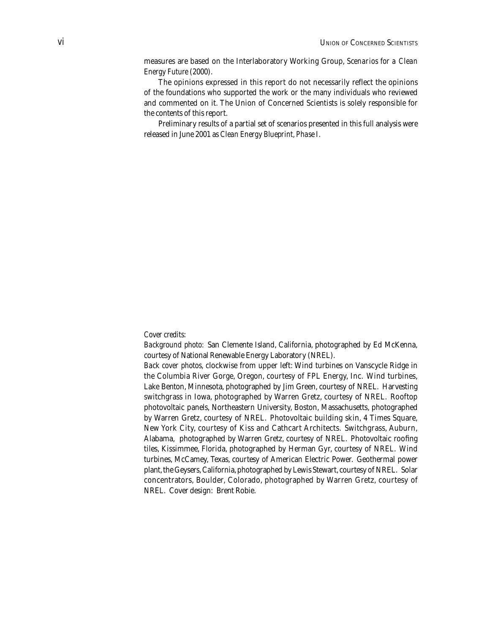measures are based on the Interlaboratory Working Group, *Scenarios for a Clean Energy Future* (2000).

The opinions expressed in this report do not necessarily reflect the opinions of the foundations who supported the work or the many individuals who reviewed and commented on it. The Union of Concerned Scientists is solely responsible for the contents of this report.

Preliminary results of a partial set of scenarios presented in this full analysis were released in June 2001 as *Clean Energy Blueprint, Phase I.*

#### *Cover credits:*

*Background photo:* San Clemente Island, California, photographed by Ed McKenna, courtesy of National Renewable Energy Laboratory (NREL).

*Back cover photos,* clockwise from upper left: Wind turbines on Vanscycle Ridge in the Columbia River Gorge, Oregon, courtesy of FPL Energy, Inc. Wind turbines, Lake Benton, Minnesota, photographed by Jim Green, courtesy of NREL. Harvesting switchgrass in Iowa, photographed by Warren Gretz, courtesy of NREL. Rooftop photovoltaic panels, Northeastern University, Boston, Massachusetts, photographed by Warren Gretz, courtesy of NREL. Photovoltaic building skin, 4 Times Square, New York City, courtesy of Kiss and Cathcart Architects. Switchgrass, Auburn, Alabama, photographed by Warren Gretz, courtesy of NREL. Photovoltaic roofing tiles, Kissimmee, Florida, photographed by Herman Gyr, courtesy of NREL. Wind turbines, McCamey, Texas, courtesy of American Electric Power. Geothermal power plant, the Geysers, California, photographed by Lewis Stewart, courtesy of NREL. Solar concentrators, Boulder, Colorado, photographed by Warren Gretz, courtesy of NREL. Cover design: Brent Robie.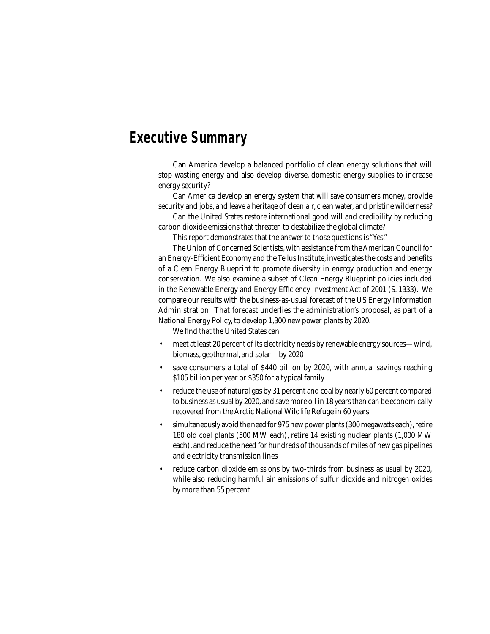## **Executive Summary**

Can America develop a balanced portfolio of clean energy solutions that will stop wasting energy and also develop diverse, domestic energy supplies to increase energy security?

Can America develop an energy system that will save consumers money, provide security and jobs, and leave a heritage of clean air, clean water, and pristine wilderness?

Can the United States restore international good will and credibility by reducing carbon dioxide emissions that threaten to destabilize the global climate?

This report demonstrates that the answer to those questions is "Yes."

The Union of Concerned Scientists, with assistance from the American Council for an Energy-Efficient Economy and the Tellus Institute, investigates the costs and benefits of a Clean Energy Blueprint to promote diversity in energy production and energy conservation. We also examine a subset of Clean Energy Blueprint policies included in the Renewable Energy and Energy Efficiency Investment Act of 2001 (S. 1333). We compare our results with the business-as-usual forecast of the US Energy Information Administration. That forecast underlies the administration's proposal, as part of a National Energy Policy, to develop 1,300 new power plants by 2020.

We find that the United States can

- meet at least 20 percent of its electricity needs by renewable energy sources—wind, biomass, geothermal, and solar—by 2020
- save consumers a total of \$440 billion by 2020, with annual savings reaching \$105 billion per year or \$350 for a typical family
- reduce the use of natural gas by 31 percent and coal by nearly 60 percent compared to business as usual by 2020, and save more oil in 18 years than can be economically recovered from the Arctic National Wildlife Refuge in 60 years
- simultaneously avoid the need for 975 new power plants (300 megawatts each), retire 180 old coal plants (500 MW each), retire 14 existing nuclear plants (1,000 MW each), and reduce the need for hundreds of thousands of miles of new gas pipelines and electricity transmission lines
- reduce carbon dioxide emissions by two-thirds from business as usual by 2020, while also reducing harmful air emissions of sulfur dioxide and nitrogen oxides by more than 55 percent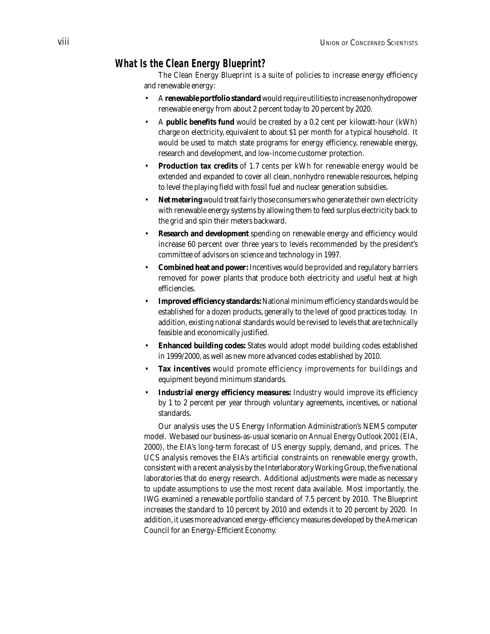## **What Is the Clean Energy Blueprint?**

The Clean Energy Blueprint is a suite of policies to increase energy efficiency and renewable energy:

- A **renewable portfolio standard** would require utilities to increase nonhydropower renewable energy from about 2 percent today to 20 percent by 2020.
- A **public benefits fund** would be created by a 0.2 cent per kilowatt-hour (kWh) charge on electricity, equivalent to about \$1 per month for a typical household. It would be used to match state programs for energy efficiency, renewable energy, research and development, and low-income customer protection.
- **Production tax credits** of 1.7 cents per kWh for renewable energy would be extended and expanded to cover all clean, nonhydro renewable resources, helping to level the playing field with fossil fuel and nuclear generation subsidies.
- **Net metering** would treat fairly those consumers who generate their own electricity with renewable energy systems by allowing them to feed surplus electricity back to the grid and spin their meters backward.
- **Research and development** spending on renewable energy and efficiency would increase 60 percent over three years to levels recommended by the president's committee of advisors on science and technology in 1997.
- **Combined heat and power:** Incentives would be provided and regulatory barriers removed for power plants that produce both electricity and useful heat at high efficiencies.
- **Improved efficiency standards:** National minimum efficiency standards would be established for a dozen products, generally to the level of good practices today. In addition, existing national standards would be revised to levels that are technically feasible and economically justified.
- **Enhanced building codes:** States would adopt model building codes established in 1999/2000, as well as new more advanced codes established by 2010.
- **Tax incentives** would promote efficiency improvements for buildings and equipment beyond minimum standards.
- **Industrial energy efficiency measures:** Industry would improve its efficiency by 1 to 2 percent per year through voluntary agreements, incentives, or national standards.

Our analysis uses the US Energy Information Administration's NEMS computer model. We based our business-as-usual scenario on *Annual Energy Outlook 2001* (EIA, 2000), the EIA's long-term forecast of US energy supply, demand, and prices. The UCS analysis removes the EIA's artificial constraints on renewable energy growth, consistent with a recent analysis by the Interlaboratory Working Group, the five national laboratories that do energy research. Additional adjustments were made as necessary to update assumptions to use the most recent data available. Most importantly, the IWG examined a renewable portfolio standard of 7.5 percent by 2010. The Blueprint increases the standard to 10 percent by 2010 and extends it to 20 percent by 2020. In addition, it uses more advanced energy-efficiency measures developed by the American Council for an Energy-Efficient Economy.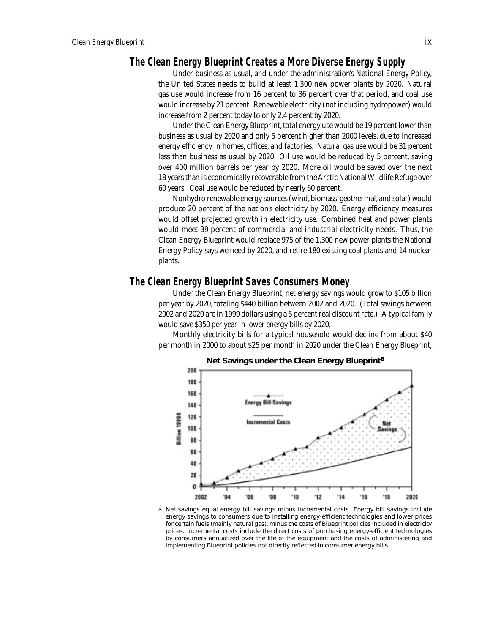## **The Clean Energy Blueprint Creates a More Diverse Energy Supply**

Under business as usual, and under the administration's National Energy Policy, the United States needs to build at least 1,300 new power plants by 2020. Natural gas use would increase from 16 percent to 36 percent over that period, and coal use would increase by 21 percent. Renewable electricity (not including hydropower) would increase from 2 percent today to only 2.4 percent by 2020.

Under the Clean Energy Blueprint, total energy use would be 19 percent lower than business as usual by 2020 and only 5 percent higher than 2000 levels, due to increased energy efficiency in homes, offices, and factories. Natural gas use would be 31 percent less than business as usual by 2020. Oil use would be reduced by 5 percent, saving over 400 million barrels per year by 2020. More oil would be saved over the next 18 years than is economically recoverable from the Arctic National Wildlife Refuge over 60 years. Coal use would be reduced by nearly 60 percent.

Nonhydro renewable energy sources (wind, biomass, geothermal, and solar) would produce 20 percent of the nation's electricity by 2020. Energy efficiency measures would offset projected growth in electricity use. Combined heat and power plants would meet 39 percent of commercial and industrial electricity needs. Thus, the Clean Energy Blueprint would replace 975 of the 1,300 new power plants the National Energy Policy says we need by 2020, and retire 180 existing coal plants and 14 nuclear plants.

## **The Clean Energy Blueprint Saves Consumers Money**

Under the Clean Energy Blueprint, net energy savings would grow to \$105 billion per year by 2020, totaling \$440 billion between 2002 and 2020. (Total savings between 2002 and 2020 are in 1999 dollars using a 5 percent real discount rate.) A typical family would save \$350 per year in lower energy bills by 2020.

Monthly electricity bills for a typical household would decline from about \$40 per month in 2000 to about \$25 per month in 2020 under the Clean Energy Blueprint,



**Net Savings under the Clean Energy Blueprint<sup>a</sup>**

a. Net savings equal energy bill savings minus incremental costs. Energy bill savings include energy savings to consumers due to installing energy-efficient technologies and lower prices for certain fuels (mainly natural gas), minus the costs of Blueprint policies included in electricity prices. Incremental costs include the direct costs of purchasing energy-efficient technologies by consumers annualized over the life of the equipment and the costs of administering and implementing Blueprint policies not directly reflected in consumer energy bills.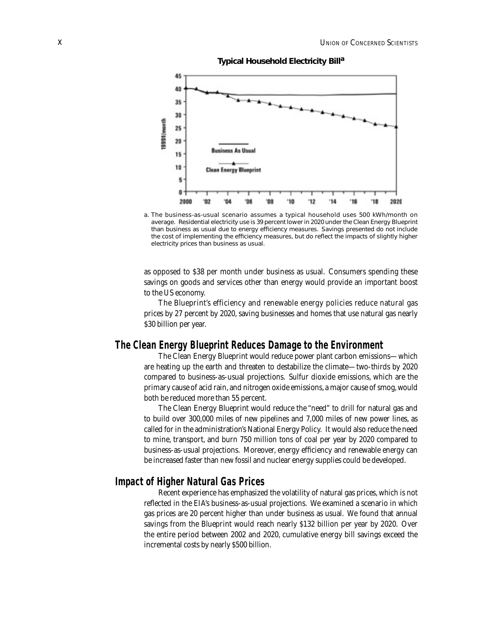



a. The business-as-usual scenario assumes a typical household uses 500 kWh/month on average. Residential electricity use is 39 percent lower in 2020 under the Clean Energy Blueprint than business as usual due to energy efficiency measures. Savings presented do not include the cost of implementing the efficiency measures, but do reflect the impacts of slightly higher electricity prices than business as usual.

as opposed to \$38 per month under business as usual. Consumers spending these savings on goods and services other than energy would provide an important boost to the US economy.

The Blueprint's efficiency and renewable energy policies reduce natural gas prices by 27 percent by 2020, saving businesses and homes that use natural gas nearly \$30 billion per year.

### **The Clean Energy Blueprint Reduces Damage to the Environment**

The Clean Energy Blueprint would reduce power plant carbon emissions—which are heating up the earth and threaten to destabilize the climate—two-thirds by 2020 compared to business-as-usual projections. Sulfur dioxide emissions, which are the primary cause of acid rain, and nitrogen oxide emissions, a major cause of smog, would both be reduced more than 55 percent.

The Clean Energy Blueprint would reduce the "need" to drill for natural gas and to build over 300,000 miles of new pipelines and 7,000 miles of new power lines, as called for in the administration's National Energy Policy. It would also reduce the need to mine, transport, and burn 750 million tons of coal per year by 2020 compared to business-as-usual projections. Moreover, energy efficiency and renewable energy can be increased faster than new fossil and nuclear energy supplies could be developed.

## **Impact of Higher Natural Gas Prices**

Recent experience has emphasized the volatility of natural gas prices, which is not reflected in the EIA's business-as-usual projections. We examined a scenario in which gas prices are 20 percent higher than under business as usual. We found that annual savings from the Blueprint would reach nearly \$132 billion per year by 2020. Over the entire period between 2002 and 2020, cumulative energy bill savings exceed the incremental costs by nearly \$500 billion.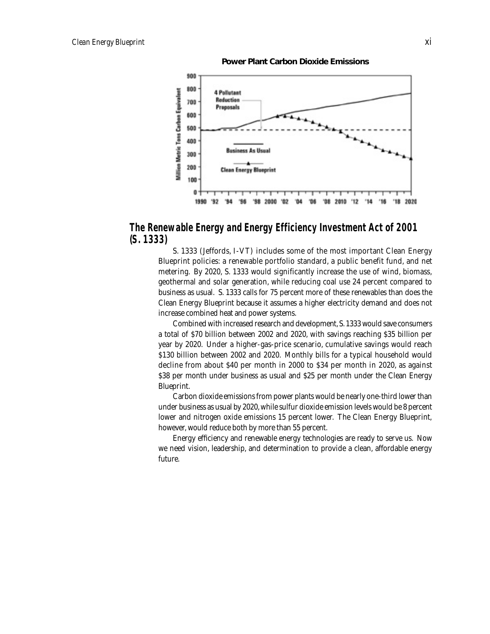**Power Plant Carbon Dioxide Emissions**



## **The Renewable Energy and Energy Efficiency Investment Act of 2001 (S. 1333)**

S. 1333 (Jeffords, I-VT) includes some of the most important Clean Energy Blueprint policies: a renewable portfolio standard, a public benefit fund, and net metering. By 2020, S. 1333 would significantly increase the use of wind, biomass, geothermal and solar generation, while reducing coal use 24 percent compared to business as usual. S. 1333 calls for 75 percent more of these renewables than does the Clean Energy Blueprint because it assumes a higher electricity demand and does not increase combined heat and power systems.

Combined with increased research and development, S. 1333 would save consumers a total of \$70 billion between 2002 and 2020, with savings reaching \$35 billion per year by 2020. Under a higher-gas-price scenario, cumulative savings would reach \$130 billion between 2002 and 2020. Monthly bills for a typical household would decline from about \$40 per month in 2000 to \$34 per month in 2020, as against \$38 per month under business as usual and \$25 per month under the Clean Energy Blueprint.

Carbon dioxide emissions from power plants would be nearly one-third lower than under business as usual by 2020, while sulfur dioxide emission levels would be 8 percent lower and nitrogen oxide emissions 15 percent lower. The Clean Energy Blueprint, however, would reduce both by more than 55 percent.

Energy efficiency and renewable energy technologies are ready to serve us. Now we need vision, leadership, and determination to provide a clean, affordable energy future.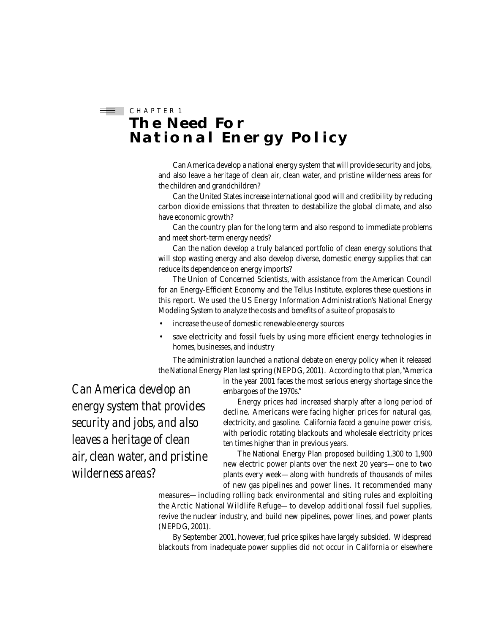## $\equiv$  CHAPTER 1 **The Need For National Energy Policy**

Can America develop a national energy system that will provide security and jobs, and also leave a heritage of clean air, clean water, and pristine wilderness areas for the children and grandchildren?

Can the United States increase international good will and credibility by reducing carbon dioxide emissions that threaten to destabilize the global climate, and also have economic growth?

Can the country plan for the long term and also respond to immediate problems and meet short-term energy needs?

Can the nation develop a truly balanced portfolio of clean energy solutions that will stop wasting energy and also develop diverse, domestic energy supplies that can reduce its dependence on energy imports?

The Union of Concerned Scientists, with assistance from the American Council for an Energy-Efficient Economy and the Tellus Institute, explores these questions in this report. We used the US Energy Information Administration's National Energy Modeling System to analyze the costs and benefits of a suite of proposals to

- increase the use of domestic renewable energy sources
- save electricity and fossil fuels by using more efficient energy technologies in homes, businesses, and industry

The administration launched a national debate on energy policy when it released the National Energy Plan last spring (NEPDG, 2001). According to that plan, "America

> in the year 2001 faces the most serious energy shortage since the embargoes of the 1970s."

*Can America develop an energy system that provides security and jobs, and also leaves a heritage of clean air, clean water, and pristine wilderness areas?* 

Energy prices had increased sharply after a long period of decline. Americans were facing higher prices for natural gas, electricity, and gasoline. California faced a genuine power crisis, with periodic rotating blackouts and wholesale electricity prices ten times higher than in previous years.

The National Energy Plan proposed building 1,300 to 1,900 new electric power plants over the next 20 years—one to two plants every week—along with hundreds of thousands of miles of new gas pipelines and power lines. It recommended many

measures—including rolling back environmental and siting rules and exploiting the Arctic National Wildlife Refuge—to develop additional fossil fuel supplies, revive the nuclear industry, and build new pipelines, power lines, and power plants (NEPDG, 2001).

By September 2001, however, fuel price spikes have largely subsided. Widespread blackouts from inadequate power supplies did not occur in California or elsewhere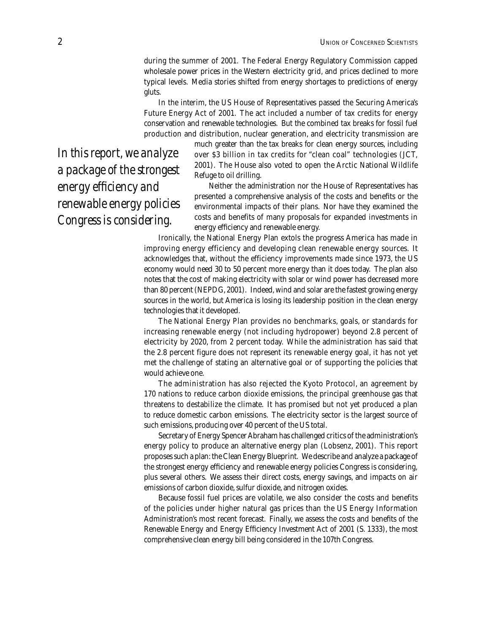during the summer of 2001. The Federal Energy Regulatory Commission capped wholesale power prices in the Western electricity grid, and prices declined to more typical levels. Media stories shifted from energy shortages to predictions of energy gluts.

In the interim, the US House of Representatives passed the Securing America's Future Energy Act of 2001. The act included a number of tax credits for energy conservation and renewable technologies. But the combined tax breaks for fossil fuel production and distribution, nuclear generation, and electricity transmission are

*In this report, we analyze a package of the strongest energy efficiency and renewable energy policies Congress is considering.*

much greater than the tax breaks for clean energy sources, including over \$3 billion in tax credits for "clean coal" technologies (JCT, 2001). The House also voted to open the Arctic National Wildlife Refuge to oil drilling.

Neither the administration nor the House of Representatives has presented a comprehensive analysis of the costs and benefits or the environmental impacts of their plans. Nor have they examined the costs and benefits of many proposals for expanded investments in energy efficiency and renewable energy.

Ironically, the National Energy Plan extols the progress America has made in improving energy efficiency and developing clean renewable energy sources. It acknowledges that, without the efficiency improvements made since 1973, the US economy would need 30 to 50 percent more energy than it does today. The plan also notes that the cost of making electricity with solar or wind power has decreased more than 80 percent (NEPDG, 2001). Indeed, wind and solar are the fastest growing energy sources in the world, but America is losing its leadership position in the clean energy technologies that it developed.

The National Energy Plan provides no benchmarks, goals, or standards for increasing renewable energy (not including hydropower) beyond 2.8 percent of electricity by 2020, from 2 percent today. While the administration has said that the 2.8 percent figure does not represent its renewable energy goal, it has not yet met the challenge of stating an alternative goal or of supporting the policies that would achieve one.

The administration has also rejected the Kyoto Protocol, an agreement by 170 nations to reduce carbon dioxide emissions, the principal greenhouse gas that threatens to destabilize the climate. It has promised but not yet produced a plan to reduce domestic carbon emissions. The electricity sector is the largest source of such emissions, producing over 40 percent of the US total.

Secretary of Energy Spencer Abraham has challenged critics of the administration's energy policy to produce an alternative energy plan (Lobsenz, 2001). This report proposes such a plan: the Clean Energy Blueprint. We describe and analyze a package of the strongest energy efficiency and renewable energy policies Congress is considering, plus several others. We assess their direct costs, energy savings, and impacts on air emissions of carbon dioxide, sulfur dioxide, and nitrogen oxides.

Because fossil fuel prices are volatile, we also consider the costs and benefits of the policies under higher natural gas prices than the US Energy Information Administration's most recent forecast. Finally, we assess the costs and benefits of the Renewable Energy and Energy Efficiency Investment Act of 2001 (S. 1333), the most comprehensive clean energy bill being considered in the 107th Congress.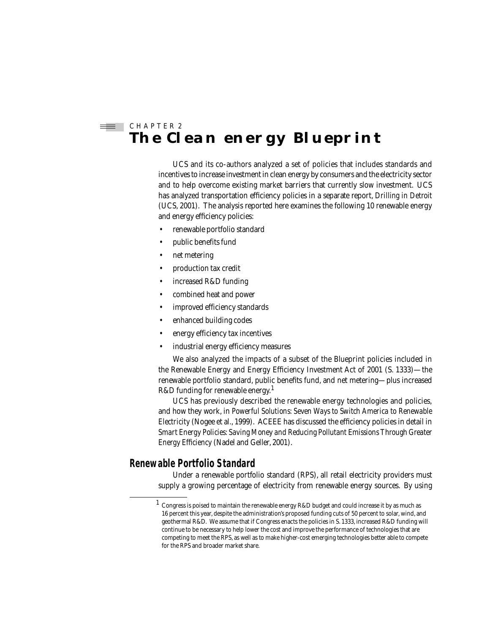## $\equiv$  CHAPTER 2 **The Clean energy Blueprint**

UCS and its co-authors analyzed a set of policies that includes standards and incentives to increase investment in clean energy by consumers and the electricity sector and to help overcome existing market barriers that currently slow investment. UCS has analyzed transportation efficiency policies in a separate report, *Drilling in Detroit* (UCS, 2001). The analysis reported here examines the following 10 renewable energy and energy efficiency policies:

- renewable portfolio standard
- public benefits fund
- net metering
- production tax credit
- increased R&D funding
- combined heat and power
- improved efficiency standards
- enhanced building codes
- energy efficiency tax incentives
- industrial energy efficiency measures

We also analyzed the impacts of a subset of the Blueprint policies included in the Renewable Energy and Energy Efficiency Investment Act of 2001 (S. 1333)-the renewable portfolio standard, public benefits fund, and net metering—plus increased R&D funding for renewable energy.<sup>1</sup>

UCS has previously described the renewable energy technologies and policies, and how they work, in *Powerful Solutions: Seven Ways to Switch America to Renewable Electricity* (Nogee et al., 1999). ACEEE has discussed the efficiency policies in detail in *Smart Energy Policies: Saving Money and Reducing Pollutant Emissions Through Greater Energy Efficiency* (Nadel and Geller, 2001).

## **Renewable Portfolio Standard**

Under a renewable portfolio standard (RPS), all retail electricity providers must supply a growing percentage of electricity from renewable energy sources. By using

<sup>&</sup>lt;sup>1</sup> Congress is poised to maintain the renewable energy R&D budget and could increase it by as much as 16 percent this year, despite the administration's proposed funding cuts of 50 percent to solar, wind, and geothermal R&D. We assume that if Congress enacts the policies in S. 1333, increased R&D funding will continue to be necessary to help lower the cost and improve the performance of technologies that are competing to meet the RPS, as well as to make higher-cost emerging technologies better able to compete for the RPS and broader market share.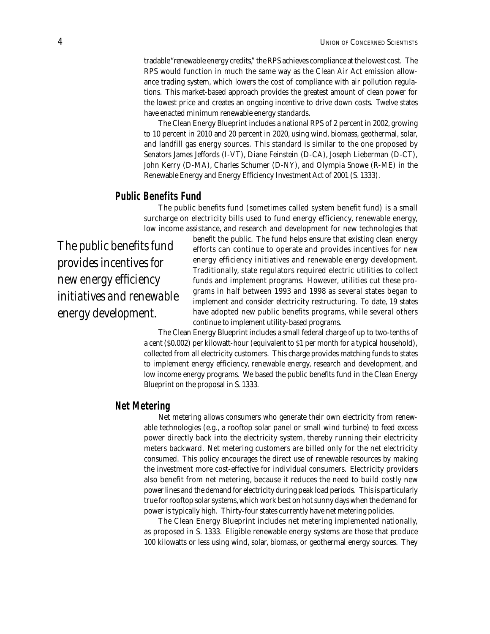tradable "renewable energy credits," the RPS achieves compliance at the lowest cost. The RPS would function in much the same way as the Clean Air Act emission allowance trading system, which lowers the cost of compliance with air pollution regulations. This market-based approach provides the greatest amount of clean power for the lowest price and creates an ongoing incentive to drive down costs. Twelve states have enacted minimum renewable energy standards.

The Clean Energy Blueprint includes a national RPS of 2 percent in 2002, growing to 10 percent in 2010 and 20 percent in 2020, using wind, biomass, geothermal, solar, and landfill gas energy sources. This standard is similar to the one proposed by Senators James Jeffords (I-VT), Diane Feinstein (D-CA), Joseph Lieberman (D-CT), John Kerry (D-MA), Charles Schumer (D-NY), and Olympia Snowe (R-ME) in the Renewable Energy and Energy Efficiency Investment Act of 2001 (S. 1333).

## **Public Benefits Fund**

The public benefits fund (sometimes called system benefit fund) is a small surcharge on electricity bills used to fund energy efficiency, renewable energy, low income assistance, and research and development for new technologies that

*The public benefits fund provides incentives for new energy efficiency initiatives and renewable energy development.*

benefit the public. The fund helps ensure that existing clean energy efforts can continue to operate and provides incentives for new energy efficiency initiatives and renewable energy development. Traditionally, state regulators required electric utilities to collect funds and implement programs. However, utilities cut these programs in half between 1993 and 1998 as several states began to implement and consider electricity restructuring. To date, 19 states have adopted new public benefits programs, while several others continue to implement utility-based programs.

The Clean Energy Blueprint includes a small federal charge of up to two-tenths of a cent (\$0.002) per kilowatt-hour (equivalent to \$1 per month for a typical household), collected from all electricity customers. This charge provides matching funds to states to implement energy efficiency, renewable energy, research and development, and low income energy programs. We based the public benefits fund in the Clean Energy Blueprint on the proposal in S. 1333.

### **Net Metering**

Net metering allows consumers who generate their own electricity from renewable technologies (e.g., a rooftop solar panel or small wind turbine) to feed excess power directly back into the electricity system, thereby running their electricity meters backward. Net metering customers are billed only for the net electricity consumed. This policy encourages the direct use of renewable resources by making the investment more cost-effective for individual consumers. Electricity providers also benefit from net metering, because it reduces the need to build costly new power lines and the demand for electricity during peak load periods. This is particularly true for rooftop solar systems, which work best on hot sunny days when the demand for power is typically high. Thirty-four states currently have net metering policies.

The Clean Energy Blueprint includes net metering implemented nationally, as proposed in S. 1333. Eligible renewable energy systems are those that produce 100 kilowatts or less using wind, solar, biomass, or geothermal energy sources. They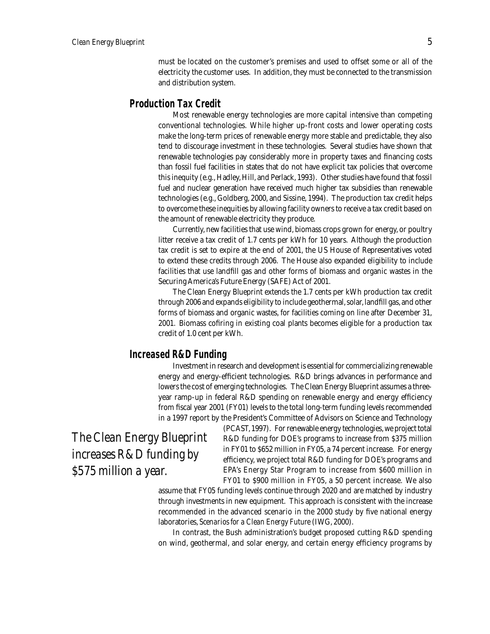must be located on the customer's premises and used to offset some or all of the electricity the customer uses. In addition, they must be connected to the transmission and distribution system.

## **Production Tax Credit**

Most renewable energy technologies are more capital intensive than competing conventional technologies. While higher up-front costs and lower operating costs make the long-term prices of renewable energy more stable and predictable, they also tend to discourage investment in these technologies. Several studies have shown that renewable technologies pay considerably more in property taxes and financing costs than fossil fuel facilities in states that do not have explicit tax policies that overcome this inequity (e.g., Hadley, Hill, and Perlack, 1993). Other studies have found that fossil fuel and nuclear generation have received much higher tax subsidies than renewable technologies (e.g., Goldberg, 2000, and Sissine, 1994). The production tax credit helps to overcome these inequities by allowing facility owners to receive a tax credit based on the amount of renewable electricity they produce.

Currently, new facilities that use wind, biomass crops grown for energy, or poultry litter receive a tax credit of 1.7 cents per kWh for 10 years. Although the production tax credit is set to expire at the end of 2001, the US House of Representatives voted to extend these credits through 2006. The House also expanded eligibility to include facilities that use landfill gas and other forms of biomass and organic wastes in the Securing America's Future Energy (SAFE) Act of 2001.

The Clean Energy Blueprint extends the 1.7 cents per kWh production tax credit through 2006 and expands eligibility to include geothermal, solar, landfill gas, and other forms of biomass and organic wastes, for facilities coming on line after December 31, 2001. Biomass cofiring in existing coal plants becomes eligible for a production tax credit of 1.0 cent per kWh.

#### **Increased R&D Funding**

Investment in research and development is essential for commercializing renewable energy and energy-efficient technologies. R&D brings advances in performance and lowers the cost of emerging technologies. The Clean Energy Blueprint assumes a threeyear ramp-up in federal R&D spending on renewable energy and energy efficiency from fiscal year 2001 (FY01) levels to the total long-term funding levels recommended in a 1997 report by the President's Committee of Advisors on Science and Technology

*The Clean Energy Blueprint increases R&D funding by \$575 million a year.*

(PCAST, 1997). For renewable energy technologies, we project total R&D funding for DOE's programs to increase from \$375 million in FY01 to \$652 million in FY05, a 74 percent increase. For energy efficiency, we project total R&D funding for DOE's programs and EPA's Energy Star Program to increase from \$600 million in FY01 to \$900 million in FY05, a 50 percent increase. We also

assume that FY05 funding levels continue through 2020 and are matched by industry through investments in new equipment. This approach is consistent with the increase recommended in the advanced scenario in the 2000 study by five national energy laboratories, *Scenarios for a Clean Energy Future* (IWG, 2000).

In contrast, the Bush administration's budget proposed cutting R&D spending on wind, geothermal, and solar energy, and certain energy efficiency programs by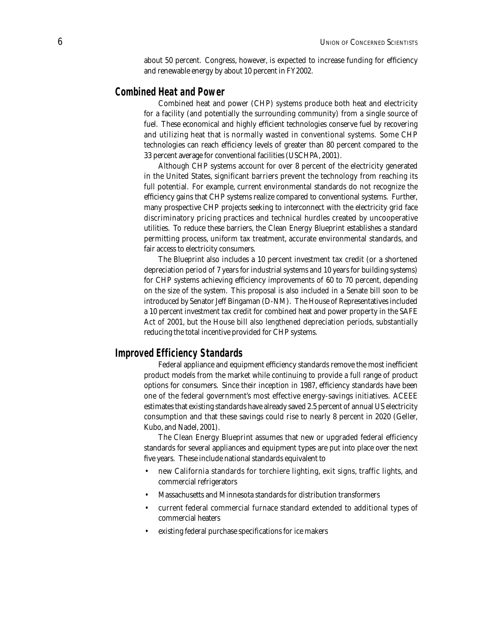about 50 percent. Congress, however, is expected to increase funding for efficiency and renewable energy by about 10 percent in FY2002.

## **Combined Heat and Power**

Combined heat and power (CHP) systems produce both heat and electricity for a facility (and potentially the surrounding community) from a single source of fuel. These economical and highly efficient technologies conserve fuel by recovering and utilizing heat that is normally wasted in conventional systems. Some CHP technologies can reach efficiency levels of greater than 80 percent compared to the 33 percent average for conventional facilities (USCHPA, 2001).

Although CHP systems account for over 8 percent of the electricity generated in the United States, significant barriers prevent the technology from reaching its full potential. For example, current environmental standards do not recognize the efficiency gains that CHP systems realize compared to conventional systems. Further, many prospective CHP projects seeking to interconnect with the electricity grid face discriminatory pricing practices and technical hurdles created by uncooperative utilities. To reduce these barriers, the Clean Energy Blueprint establishes a standard permitting process, uniform tax treatment, accurate environmental standards, and fair access to electricity consumers.

The Blueprint also includes a 10 percent investment tax credit (or a shortened depreciation period of 7 years for industrial systems and 10 years for building systems) for CHP systems achieving efficiency improvements of 60 to 70 percent, depending on the size of the system. This proposal is also included in a Senate bill soon to be introduced by Senator Jeff Bingaman (D-NM). The House of Representatives included a 10 percent investment tax credit for combined heat and power property in the SAFE Act of 2001, but the House bill also *lengthened* depreciation periods, substantially reducing the total incentive provided for CHP systems.

### **Improved Efficiency Standards**

Federal appliance and equipment efficiency standards remove the most inefficient product models from the market while continuing to provide a full range of product options for consumers. Since their inception in 1987, efficiency standards have been one of the federal government's most effective energy-savings initiatives. ACEEE estimates that existing standards have already saved 2.5 percent of annual US electricity consumption and that these savings could rise to nearly 8 percent in 2020 (Geller, Kubo, and Nadel, 2001).

The Clean Energy Blueprint assumes that new or upgraded federal efficiency standards for several appliances and equipment types are put into place over the next five years. These include national standards equivalent to

- new California standards for torchiere lighting, exit signs, traffic lights, and commercial refrigerators
- Massachusetts and Minnesota standards for distribution transformers
- current federal commercial furnace standard extended to additional types of commercial heaters
- existing federal purchase specifications for ice makers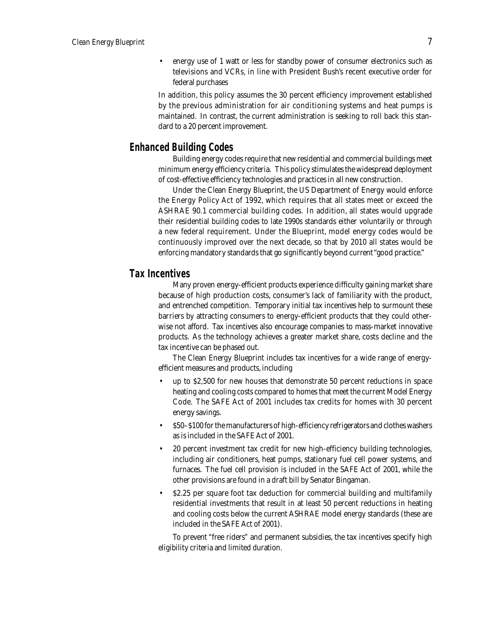• energy use of 1 watt or less for standby power of consumer electronics such as televisions and VCRs, in line with President Bush's recent executive order for federal purchases

In addition, this policy assumes the 30 percent efficiency improvement established by the previous administration for air conditioning systems and heat pumps is maintained. In contrast, the current administration is seeking to roll back this standard to a 20 percent improvement.

## **Enhanced Building Codes**

Building energy codes require that new residential and commercial buildings meet minimum energy efficiency criteria. This policy stimulates the widespread deployment of cost-effective efficiency technologies and practices in all new construction.

Under the Clean Energy Blueprint, the US Department of Energy would enforce the Energy Policy Act of 1992, which requires that all states meet or exceed the ASHRAE 90.1 commercial building codes. In addition, all states would upgrade their residential building codes to late 1990s standards either voluntarily or through a new federal requirement. Under the Blueprint, model energy codes would be continuously improved over the next decade, so that by 2010 all states would be enforcing mandatory standards that go significantly beyond current "good practice."

## **Tax Incentives**

Many proven energy-efficient products experience difficulty gaining market share because of high production costs, consumer's lack of familiarity with the product, and entrenched competition. Temporary initial tax incentives help to surmount these barriers by attracting consumers to energy-efficient products that they could otherwise not afford. Tax incentives also encourage companies to mass-market innovative products. As the technology achieves a greater market share, costs decline and the tax incentive can be phased out.

The Clean Energy Blueprint includes tax incentives for a wide range of energyefficient measures and products, including

- up to \$2,500 for new houses that demonstrate 50 percent reductions in space heating and cooling costs compared to homes that meet the current Model Energy Code. The SAFE Act of 2001 includes tax credits for homes with 30 percent energy savings.
- \$50–\$100 for the manufacturers of high-efficiency refrigerators and clothes washers as is included in the SAFE Act of 2001.
- 20 percent investment tax credit for new high-efficiency building technologies, including air conditioners, heat pumps, stationary fuel cell power systems, and furnaces. The fuel cell provision is included in the SAFE Act of 2001, while the other provisions are found in a draft bill by Senator Bingaman.
- \$2.25 per square foot tax deduction for commercial building and multifamily residential investments that result in at least 50 percent reductions in heating and cooling costs below the current ASHRAE model energy standards (these are included in the SAFE Act of 2001).

To prevent "free riders" and permanent subsidies, the tax incentives specify high eligibility criteria and limited duration.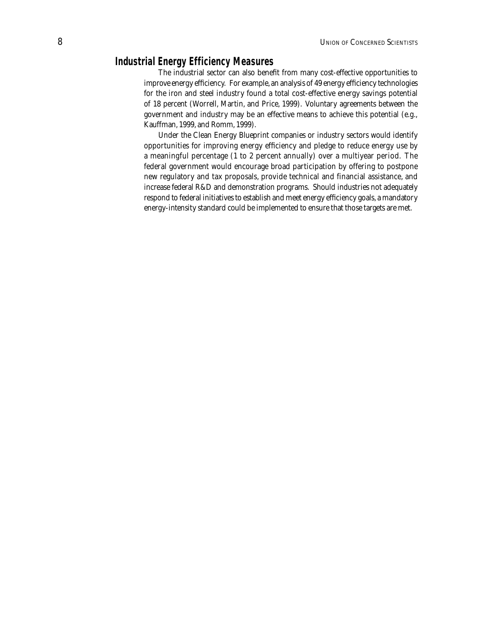## **Industrial Energy Efficiency Measures**

The industrial sector can also benefit from many cost-effective opportunities to improve energy efficiency. For example, an analysis of 49 energy efficiency technologies for the iron and steel industry found a total cost-effective energy savings potential of 18 percent (Worrell, Martin, and Price, 1999). Voluntary agreements between the government and industry may be an effective means to achieve this potential (e.g., Kauffman, 1999, and Romm, 1999).

Under the Clean Energy Blueprint companies or industry sectors would identify opportunities for improving energy efficiency and pledge to reduce energy use by a meaningful percentage (1 to 2 percent annually) over a multiyear period. The federal government would encourage broad participation by offering to postpone new regulatory and tax proposals, provide technical and financial assistance, and increase federal R&D and demonstration programs. Should industries not adequately respond to federal initiatives to establish and meet energy efficiency goals, a mandatory energy-intensity standard could be implemented to ensure that those targets are met.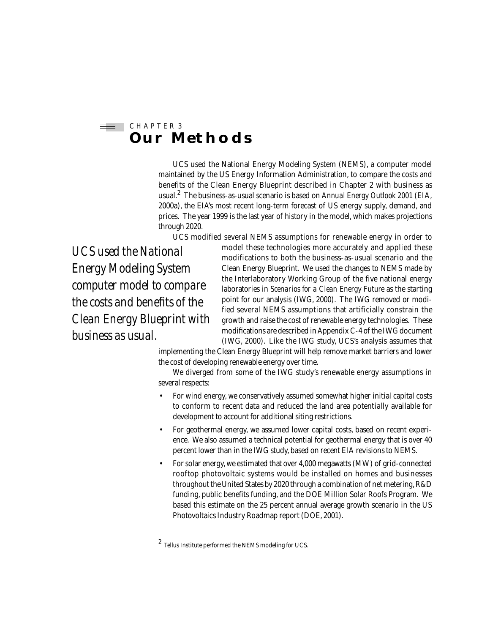#### C H A P T E R 3 di 1 **Our Methods**

UCS used the National Energy Modeling System (NEMS), a computer model maintained by the US Energy Information Administration, to compare the costs and benefits of the Clean Energy Blueprint described in Chapter 2 with business as usual.<sup>2</sup> The business-as-usual scenario is based on *Annual Energy Outlook 2001* (EIA, 2000a), the EIA's most recent long-term forecast of US energy supply, demand, and prices. The year 1999 is the last year of history in the model, which makes projections through 2020.

UCS modified several NEMS assumptions for renewable energy in order to

*UCS used the National Energy Modeling System computer model to compare the costs and benefits of the Clean Energy Blueprint with business as usual.*

model these technologies more accurately and applied these modifications to both the business-as-usual scenario and the Clean Energy Blueprint. We used the changes to NEMS made by the Interlaboratory Working Group of the five national energy laboratories in *Scenarios for a Clean Energy Future* as the starting point for our analysis (IWG, 2000). The IWG removed or modified several NEMS assumptions that artificially constrain the growth and raise the cost of renewable energy technologies. These modifications are described in Appendix C-4 of the IWG document (IWG, 2000). Like the IWG study, UCS's analysis assumes that

implementing the Clean Energy Blueprint will help remove market barriers and lower the cost of developing renewable energy over time.

We diverged from some of the IWG study's renewable energy assumptions in several respects:

- For wind energy, we conservatively assumed somewhat higher initial capital costs to conform to recent data and reduced the land area potentially available for development to account for additional siting restrictions.
- For geothermal energy, we assumed lower capital costs, based on recent experience. We also assumed a technical potential for geothermal energy that is over 40 percent lower than in the IWG study, based on recent EIA revisions to NEMS.
- For solar energy, we estimated that over 4,000 megawatts (MW) of grid-connected rooftop photovoltaic systems would be installed on homes and businesses throughout the United States by 2020 through a combination of net metering, R&D funding, public benefits funding, and the DOE Million Solar Roofs Program. We based this estimate on the 25 percent annual average growth scenario in the US Photovoltaics Industry Roadmap report (DOE, 2001).

<sup>2</sup> Tellus Institute performed the NEMS modeling for UCS.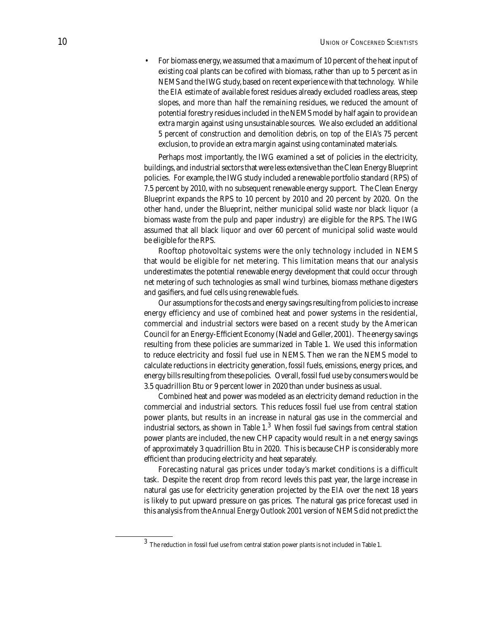• For biomass energy, we assumed that a maximum of 10 percent of the heat input of existing coal plants can be cofired with biomass, rather than up to 5 percent as in NEMS and the IWG study, based on recent experience with that technology. While the EIA estimate of available forest residues already excluded roadless areas, steep slopes, and more than half the remaining residues, we reduced the amount of potential forestry residues included in the NEMS model by half again to provide an extra margin against using unsustainable sources. We also excluded an additional 5 percent of construction and demolition debris, on top of the EIA's 75 percent exclusion, to provide an extra margin against using contaminated materials.

Perhaps most importantly, the IWG examined a set of policies in the electricity, buildings, and industrial sectors that were less extensive than the Clean Energy Blueprint policies. For example, the IWG study included a renewable portfolio standard (RPS) of 7.5 percent by 2010, with no subsequent renewable energy support. The Clean Energy Blueprint expands the RPS to 10 percent by 2010 and 20 percent by 2020. On the other hand, under the Blueprint, neither municipal solid waste nor black liquor (a biomass waste from the pulp and paper industry) are eligible for the RPS. The IWG assumed that all black liquor and over 60 percent of municipal solid waste would be eligible for the RPS.

Rooftop photovoltaic systems were the only technology included in NEMS that would be eligible for net metering. This limitation means that our analysis underestimates the potential renewable energy development that could occur through net metering of such technologies as small wind turbines, biomass methane digesters and gasifiers, and fuel cells using renewable fuels.

Our assumptions for the costs and energy savings resulting from policies to increase energy efficiency and use of combined heat and power systems in the residential, commercial and industrial sectors were based on a recent study by the American Council for an Energy-Efficient Economy (Nadel and Geller, 2001). The energy savings resulting from these policies are summarized in Table 1. We used this information to reduce electricity and fossil fuel use in NEMS. Then we ran the NEMS model to calculate reductions in electricity generation, fossil fuels, emissions, energy prices, and energy bills resulting from these policies. Overall, fossil fuel use by consumers would be 3.5 quadrillion Btu or 9 percent lower in 2020 than under business as usual.

Combined heat and power was modeled as an electricity demand reduction in the commercial and industrial sectors. This reduces fossil fuel use from central station power plants, but results in an increase in natural gas use in the commercial and industrial sectors, as shown in Table  $1.^3\,$  When fossil fuel savings from central station power plants are included, the new CHP capacity would result in a net energy savings of approximately 3 quadrillion Btu in 2020. This is because CHP is considerably more efficient than producing electricity and heat separately.

Forecasting natural gas prices under today's market conditions is a difficult task. Despite the recent drop from record levels this past year, the large increase in natural gas use for electricity generation projected by the EIA over the next 18 years is likely to put upward pressure on gas prices. The natural gas price forecast used in this analysis from the *Annual Energy Outlook 2001* version of NEMS did not predict the

<sup>3</sup> The reduction in fossil fuel use from central station power plants is not included in Table 1.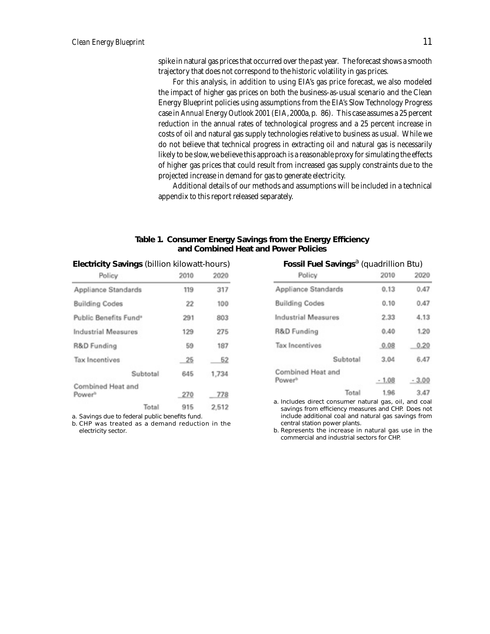spike in natural gas prices that occurred over the past year. The forecast shows a smooth trajectory that does not correspond to the historic volatility in gas prices.

For this analysis, in addition to using EIA's gas price forecast, we also modeled the impact of higher gas prices on both the business-as-usual scenario and the Clean Energy Blueprint policies using assumptions from the EIA's Slow Technology Progress case in *Annual Energy Outlook 2001* (EIA, 2000a, p. 86). This case assumes a 25 percent reduction in the annual rates of technological progress and a 25 percent increase in costs of oil and natural gas supply technologies relative to business as usual. While we do not believe that technical progress in extracting oil and natural gas is necessarily likely to be slow, we believe this approach is a reasonable proxy for simulating the effects of higher gas prices that could result from increased gas supply constraints due to the projected increase in demand for gas to generate electricity.

Additional details of our methods and assumptions will be included in a technical appendix to this report released separately.

#### Table 1. Consumer Energy Savings from the Energy Efficiency **and Combined Heat and Power Policies**

| <b>LIEGHIGHT</b> Savings (Diffion Knowall-Hours) |      |            |  |  |  |
|--------------------------------------------------|------|------------|--|--|--|
| Policy                                           | 2010 | 2020       |  |  |  |
| Appliance Standards                              | 119  | 317        |  |  |  |
| <b>Building Codes</b>                            | 22   | 100        |  |  |  |
| Public Repetite Funds                            | 291  | <b>202</b> |  |  |  |

| Appliance Standards               | 119 | 317   |
|-----------------------------------|-----|-------|
| <b>Building Codes</b>             | 22  | 100   |
| Public Benefits Fund <sup>®</sup> | 291 | 803   |
| <b>Industrial Measures</b>        | 129 | 275   |
| R&D Funding                       | 59  | 187   |
| <b>Tax Incentives</b>             | 25  | 52    |
| Subtotal                          | 645 | 1,734 |
| Combined Heat and                 |     |       |
| Power <sup>b</sup>                | 270 | 778   |
| Total                             | 915 | 2.512 |

a. Savings due to federal public benefits fund.

b. CHP was treated as a demand reduction in the electricity sector.

## **Electricity Savings** (billion kilowatt-hours) **Fossil Fuel Savings**<sup>a</sup> (quadrillion Btu)

| Policy                                  | 2010    | 2020    |
|-----------------------------------------|---------|---------|
| Appliance Standards                     | 0.13    | 0,47    |
| <b>Building Codes</b>                   | 0.10    | 0.47    |
| <b>Industrial Measures</b>              | 2.33    | 4.13    |
| R&D Funding                             | 0.40    | 1.20    |
| <b>Tax Incentives</b>                   | 0.08    | 0.20    |
| Subtotal                                | 3.04    | 6.47    |
| Combined Heat and<br>Power <sup>®</sup> | $-1.08$ | $-3.00$ |
| Total                                   | 1.96    | 3.47    |

a. Includes direct consumer natural gas, oil, and coal savings from efficiency measures and CHP. Does not include additional coal and natural gas savings from central station power plants.

b. Represents the increase in natural gas use in the commercial and industrial sectors for CHP.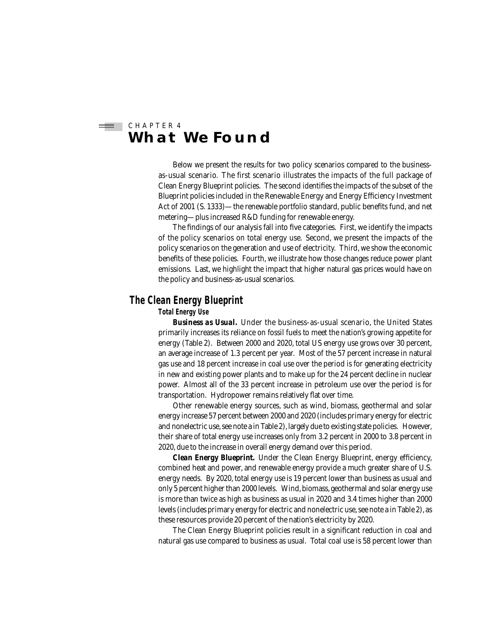#### C H A P T E R 4 start (1889) **What We Found**

Below we present the results for two policy scenarios compared to the businessas-usual scenario. The first scenario illustrates the impacts of the full package of Clean Energy Blueprint policies. The second identifies the impacts of the subset of the Blueprint policies included in the Renewable Energy and Energy Efficiency Investment Act of 2001 (S. 1333)—the renewable portfolio standard, public benefits fund, and net metering—plus increased R&D funding for renewable energy.

The findings of our analysis fall into five categories. First, we identify the impacts of the policy scenarios on total energy use. Second, we present the impacts of the policy scenarios on the generation and use of electricity. Third, we show the economic benefits of these policies. Fourth, we illustrate how those changes reduce power plant emissions. Last, we highlight the impact that higher natural gas prices would have on the policy and business-as-usual scenarios.

## **The Clean Energy Blueprint**

#### **Total Energy Use**

*Business as Usual.* Under the business-as-usual scenario, the United States primarily increases its reliance on fossil fuels to meet the nation's growing appetite for energy (Table 2). Between 2000 and 2020, total US energy use grows over 30 percent, an average increase of 1.3 percent per year. Most of the 57 percent increase in natural gas use and 18 percent increase in coal use over the period is for generating electricity in new and existing power plants and to make up for the 24 percent decline in nuclear power. Almost all of the 33 percent increase in petroleum use over the period is for transportation. Hydropower remains relatively flat over time.

Other renewable energy sources, such as wind, biomass, geothermal and solar energy increase 57 percent between 2000 and 2020 (includes primary energy for electric and nonelectric use, see note a in Table 2), largely due to existing state policies. However, their share of total energy use increases only from 3.2 percent in 2000 to 3.8 percent in 2020, due to the increase in overall energy demand over this period.

*Clean Energy Blueprint.* Under the Clean Energy Blueprint, energy efficiency, combined heat and power, and renewable energy provide a much greater share of U.S. energy needs. By 2020, total energy use is 19 percent lower than business as usual and only 5 percent higher than 2000 levels. Wind, biomass, geothermal and solar energy use is more than twice as high as business as usual in 2020 and 3.4 times higher than 2000 levels (includes primary energy for electric and nonelectric use, see note a in Table 2), as these resources provide 20 percent of the nation's electricity by 2020.

The Clean Energy Blueprint policies result in a significant reduction in coal and natural gas use compared to business as usual. Total coal use is 58 percent lower than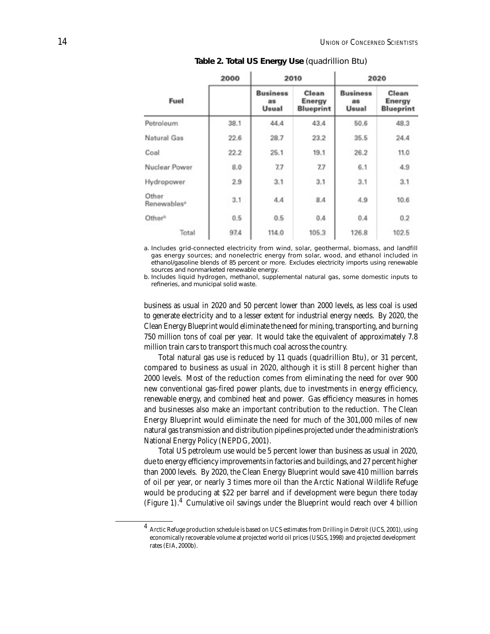|                                  | 2000 |                                | 2010                                | 2020                           |                                     |  |
|----------------------------------|------|--------------------------------|-------------------------------------|--------------------------------|-------------------------------------|--|
| Fuel                             |      | <b>Business</b><br>as<br>Usual | Clean<br>Energy<br><b>Blueprint</b> | <b>Business</b><br>as<br>Usual | Clean<br>Energy<br><b>Blueprint</b> |  |
| Petroleum                        | 38.1 | 44.4                           | 43.4                                | 50.6                           | 48.3                                |  |
| Natural Gas                      | 22.6 | 28.7                           | 23.2                                | 35.5                           | 24.4                                |  |
| Coal                             | 22.2 | 25.1                           | 19.1                                | 26.2                           | 11.0                                |  |
| Nuclear Power                    | 8.0  | 7.7                            | 7.7                                 | 6.1                            | 4.9                                 |  |
| Hydropower                       | 2.9  | 3.1                            | 3.1                                 | 3.1                            | 3.1                                 |  |
| Other<br>Renewables <sup>®</sup> | 3.1  | 4.4                            | 8.4                                 | 4.9                            | 10.6                                |  |
| Other <sup>b</sup>               | 0.5  | 0.5                            | 0.4                                 | 0.4                            | 0.2                                 |  |
| Total                            | 97.4 | 114.0                          | 105.3                               | 126.8                          | 102.5                               |  |

**Table 2. Total US Energy Use** (quadrillion Btu)

a. Includes grid-connected electricity from wind, solar, geothermal, biomass, and landfill gas energy sources; and nonelectric energy from solar, wood, and ethanol included in ethanol/gasoline blends of 85 percent or more. Excludes electricity imports using renewable sources and nonmarketed renewable energy.

b. Includes liquid hydrogen, methanol, supplemental natural gas, some domestic inputs to refineries, and municipal solid waste.

business as usual in 2020 and 50 percent lower than 2000 levels, as less coal is used to generate electricity and to a lesser extent for industrial energy needs. By 2020, the Clean Energy Blueprint would eliminate the need for mining, transporting, and burning 750 million tons of coal per year. It would take the equivalent of approximately 7.8 million train cars to transport this much coal across the country.

Total natural gas use is reduced by 11 quads (quadrillion Btu), or 31 percent, compared to business as usual in 2020, although it is still 8 percent higher than 2000 levels. Most of the reduction comes from eliminating the need for over 900 new conventional gas-fired power plants, due to investments in energy efficiency, renewable energy, and combined heat and power. Gas efficiency measures in homes and businesses also make an important contribution to the reduction. The Clean Energy Blueprint would eliminate the need for much of the 301,000 miles of new natural gas transmission and distribution pipelines projected under the administration's National Energy Policy (NEPDG, 2001).

Total US petroleum use would be 5 percent lower than business as usual in 2020, due to energy efficiency improvements in factories and buildings, and 27 percent higher than 2000 levels. By 2020, the Clean Energy Blueprint would save 410 million barrels of oil per year, or nearly 3 times more oil than the Arctic National Wildlife Refuge would be producing at \$22 per barrel and if development were begun there today (Figure 1).<sup>4</sup> Cumulative oil savings under the Blueprint would reach over 4 billion

<sup>4</sup> Arctic Refuge production schedule is based on UCS estimates from *Drilling in Detroit* (UCS, 2001), using economically recoverable volume at projected world oil prices (USGS, 1998) and projected development rates (EIA, 2000b).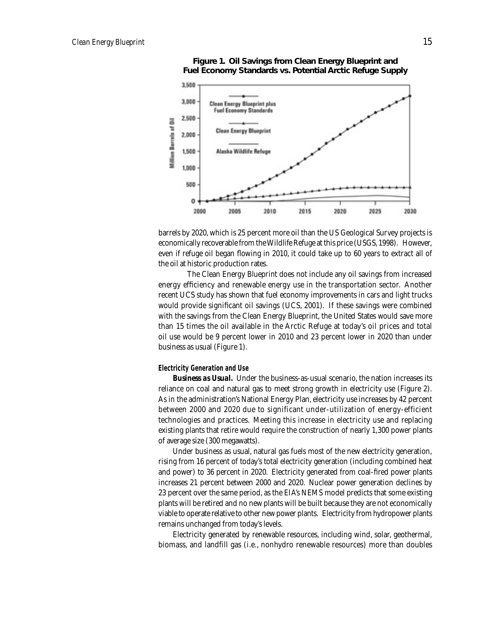

**Figure 1. Oil Savings from Clean Energy Blueprint and Fuel Economy Standards vs. Potential Arctic Refuge Supply**

barrels by 2020, which is 25 percent more oil than the US Geological Survey projects is economically recoverable from the Wildlife Refuge at this price (USGS, 1998). However, even if refuge oil began flowing in 2010, it could take up to 60 years to extract all of the oil at historic production rates.

 The Clean Energy Blueprint does not include any oil savings from increased energy efficiency and renewable energy use in the transportation sector. Another recent UCS study has shown that fuel economy improvements in cars and light trucks would provide significant oil savings (UCS, 2001). If these savings were combined with the savings from the Clean Energy Blueprint, the United States would save more than 15 times the oil available in the Arctic Refuge at today's oil prices and total oil use would be 9 percent lower in 2010 and 23 percent lower in 2020 than under business as usual (Figure 1).

#### **Electricity Generation and Use**

*Business as Usual.* Under the business-as-usual scenario, the nation increases its reliance on coal and natural gas to meet strong growth in electricity use (Figure 2). As in the administration's National Energy Plan, electricity use increases by 42 percent between 2000 and 2020 due to significant under-utilization of energy-efficient technologies and practices. Meeting this increase in electricity use and replacing existing plants that retire would require the construction of nearly 1,300 power plants of average size (300 megawatts).

Under business as usual, natural gas fuels most of the new electricity generation, rising from 16 percent of today's total electricity generation (including combined heat and power) to 36 percent in 2020. Electricity generated from coal-fired power plants increases 21 percent between 2000 and 2020. Nuclear power generation declines by 23 percent over the same period, as the EIA's NEMS model predicts that some existing plants will be retired and no new plants will be built because they are not economically viable to operate relative to other new power plants. Electricity from hydropower plants remains unchanged from today's levels.

Electricity generated by renewable resources, including wind, solar, geothermal, biomass, and landfill gas (i.e., nonhydro renewable resources) more than doubles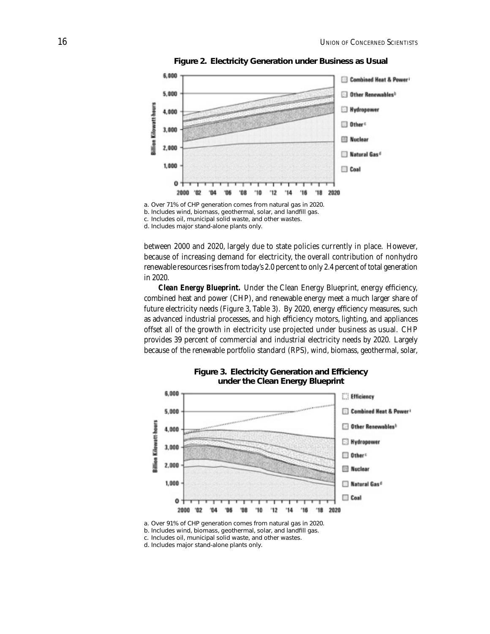

**Figure 2. Electricity Generation under Business as Usual**

d. Includes major stand-alone plants only.

between 2000 and 2020, largely due to state policies currently in place. However, because of increasing demand for electricity, the overall contribution of nonhydro renewable resources rises from today's 2.0 percent to only 2.4 percent of total generation in 2020.

*Clean Energy Blueprint.* Under the Clean Energy Blueprint, energy efficiency, combined heat and power (CHP), and renewable energy meet a much larger share of future electricity needs (Figure 3, Table 3). By 2020, energy efficiency measures, such as advanced industrial processes, and high efficiency motors, lighting, and appliances offset all of the growth in electricity use projected under business as usual. CHP provides 39 percent of commercial and industrial electricity needs by 2020. Largely because of the renewable portfolio standard (RPS), wind, biomass, geothermal, solar,



**Figure 3. Electricity Generation and Efficiency under the Clean Energy Blueprint**

a. Over 91% of CHP generation comes from natural gas in 2020.

b. Includes wind, biomass, geothermal, solar, and landfill gas.

c. Includes oil, municipal solid waste, and other wastes.

d. Includes major stand-alone plants only.

a. Over 71% of CHP generation comes from natural gas in 2020. b. Includes wind, biomass, geothermal, solar, and landfill gas. c. Includes oil, municipal solid waste, and other wastes.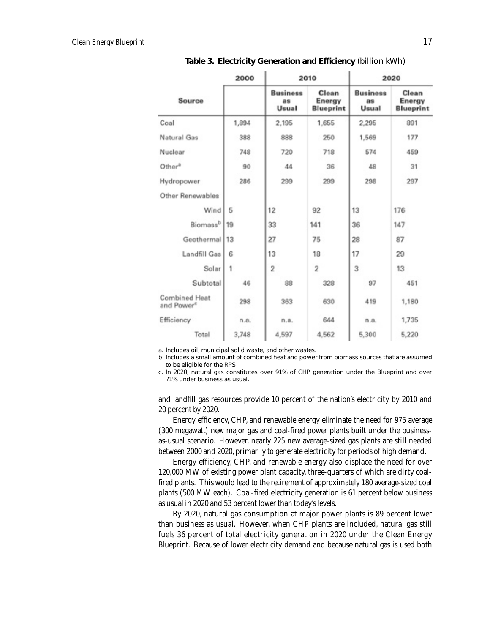|                                         | 2000  | 2010                           |                                     | 2020                            |                                     |  |
|-----------------------------------------|-------|--------------------------------|-------------------------------------|---------------------------------|-------------------------------------|--|
| Source                                  |       | <b>Business</b><br>as<br>Usual | Clean<br>Energy<br><b>Blueprint</b> | <b>Business</b><br>as.<br>Usual | Clean<br>Energy<br><b>Blueprint</b> |  |
| Coal                                    | 1,894 | 2,195                          | 1,655                               | 2,295                           | 891                                 |  |
| Natural Gas                             | 388   | 888                            | 250                                 | 1,569                           | 177                                 |  |
| Nuclear                                 | 748   | 720                            | 718                                 | 574                             | 459                                 |  |
| Other <sup>®</sup>                      | 90    | 44                             | 36                                  | 48                              | 31                                  |  |
| Hydropower                              | 286   | 299                            | 299                                 | 298                             | 297                                 |  |
| Other Renewables                        |       |                                |                                     |                                 |                                     |  |
| Wind                                    | 5     | 12                             | 92                                  | 13                              | 176                                 |  |
| Biomass <sup>b</sup>                    | 19    | 33                             | 141                                 | 36                              | 147                                 |  |
| Geothermal                              | 13    | 27                             | 75                                  | 28                              | 87                                  |  |
| Landfill Gas                            | 6     | 13                             | 18                                  | 17                              | 29                                  |  |
| Solar                                   | 1     | 2                              | $\overline{2}$                      | 3                               | 13                                  |  |
| Subtotal                                | 46    | 88                             | 328                                 | 97                              | 451                                 |  |
| Combined Heat<br>and Power <sup>c</sup> | 298   | 363                            | 630                                 | 419                             | 1,180                               |  |
| Efficiency                              | n.a.  | n.a.                           | 644                                 | n.a.                            | 1,735                               |  |
| Total                                   | 3,748 | 4,597                          | 4,562                               | 5,300                           | 5,220                               |  |

Table 3. Electricity Generation and Efficiency (billion kWh)

a. Includes oil, municipal solid waste, and other wastes.

b. Includes a small amount of combined heat and power from biomass sources that are assumed to be eligible for the RPS.

c. In 2020, natural gas constitutes over 91% of CHP generation under the Blueprint and over 71% under business as usual.

and landfill gas resources provide 10 percent of the nation's electricity by 2010 and 20 percent by 2020.

Energy efficiency, CHP, and renewable energy eliminate the need for 975 average (300 megawatt) new major gas and coal-fired power plants built under the businessas-usual scenario. However, nearly 225 new average-sized gas plants are still needed between 2000 and 2020, primarily to generate electricity for periods of high demand.

Energy efficiency, CHP, and renewable energy also displace the need for over 120,000 MW of existing power plant capacity, three-quarters of which are dirty coalfired plants. This would lead to the retirement of approximately 180 average-sized coal plants (500 MW each). Coal-fired electricity generation is 61 percent below business as usual in 2020 and 53 percent lower than today's levels.

By 2020, natural gas consumption at major power plants is 89 percent lower than business as usual. However, when CHP plants are included, natural gas still fuels 36 percent of total electricity generation in 2020 under the Clean Energy Blueprint. Because of lower electricity demand and because natural gas is used both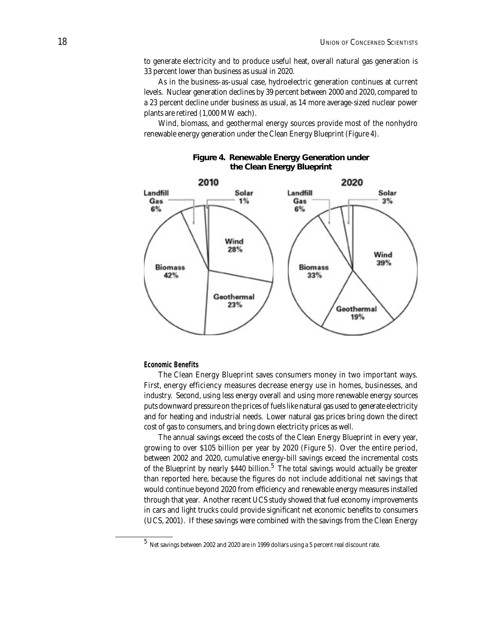to generate electricity and to produce useful heat, overall natural gas generation is 33 percent lower than business as usual in 2020.

As in the business-as-usual case, hydroelectric generation continues at current levels. Nuclear generation declines by 39 percent between 2000 and 2020, compared to a 23 percent decline under business as usual, as 14 more average-sized nuclear power plants are retired (1,000 MW each).

Wind, biomass, and geothermal energy sources provide most of the nonhydro renewable energy generation under the Clean Energy Blueprint (Figure 4).



#### **Figure 4. Renewable Energy Generation under the Clean Energy Blueprint**

#### **Economic Benefits**

The Clean Energy Blueprint saves consumers money in two important ways. First, energy efficiency measures decrease energy use in homes, businesses, and industry. Second, using less energy overall and using more renewable energy sources puts downward pressure on the prices of fuels like natural gas used to generate electricity and for heating and industrial needs. Lower natural gas prices bring down the direct cost of gas to consumers, and bring down electricity prices as well.

The annual savings exceed the costs of the Clean Energy Blueprint in every year, growing to over \$105 billion per year by 2020 (Figure 5). Over the entire period, between 2002 and 2020, cumulative energy-bill savings exceed the incremental costs of the Blueprint by nearly \$440 billion.<sup>5</sup> The total savings would actually be greater than reported here, because the figures do not include additional net savings that would continue beyond 2020 from efficiency and renewable energy measures installed through that year. Another recent UCS study showed that fuel economy improvements in cars and light trucks could provide significant net economic benefits to consumers (UCS, 2001). If these savings were combined with the savings from the Clean Energy

 $^5\,$  Net savings between 2002 and 2020 are in 1999 dollars using a 5 percent real discount rate.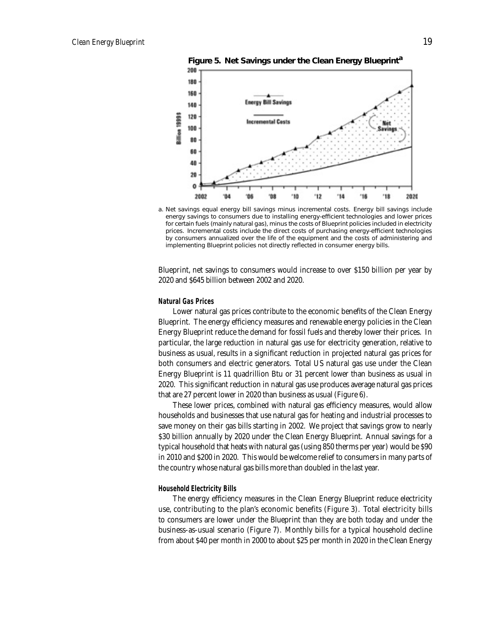

**Figure 5. Net Savings under the Clean Energy Blueprint<sup>a</sup>**

a. Net savings equal energy bill savings minus incremental costs. Energy bill savings include energy savings to consumers due to installing energy-efficient technologies and lower prices for certain fuels (mainly natural gas), minus the costs of Blueprint policies included in electricity prices. Incremental costs include the direct costs of purchasing energy-efficient technologies by consumers annualized over the life of the equipment and the costs of administering and implementing Blueprint policies not directly reflected in consumer energy bills.

Blueprint, net savings to consumers would increase to over \$150 billion per year by 2020 and \$645 billion between 2002 and 2020.

#### **Natural Gas Prices**

Lower natural gas prices contribute to the economic benefits of the Clean Energy Blueprint. The energy efficiency measures and renewable energy policies in the Clean Energy Blueprint reduce the demand for fossil fuels and thereby lower their prices. In particular, the large reduction in natural gas use for electricity generation, relative to business as usual, results in a significant reduction in projected natural gas prices for both consumers and electric generators. Total US natural gas use under the Clean Energy Blueprint is 11 quadrillion Btu or 31 percent lower than business as usual in 2020. This significant reduction in natural gas use produces average natural gas prices that are 27 percent lower in 2020 than business as usual (Figure 6).

These lower prices, combined with natural gas efficiency measures, would allow households and businesses that use natural gas for heating and industrial processes to save money on their gas bills starting in 2002. We project that savings grow to nearly \$30 billion annually by 2020 under the Clean Energy Blueprint. Annual savings for a typical household that heats with natural gas (using 850 therms per year) would be \$90 in 2010 and \$200 in 2020. This would be welcome relief to consumers in many parts of the country whose natural gas bills more than doubled in the last year.

#### **Household Electricity Bills**

The energy efficiency measures in the Clean Energy Blueprint reduce electricity use, contributing to the plan's economic benefits (Figure 3). Total electricity bills to consumers are lower under the Blueprint than they are both today and under the business-as-usual scenario (Figure 7). Monthly bills for a typical household decline from about \$40 per month in 2000 to about \$25 per month in 2020 in the Clean Energy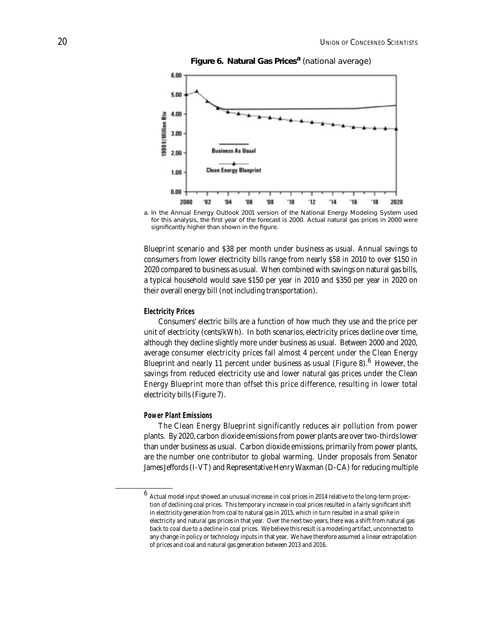

**Figure 6. Natural Gas Prices<sup>a</sup>** (national average)

Blueprint scenario and \$38 per month under business as usual. Annual savings to consumers from lower electricity bills range from nearly \$58 in 2010 to over \$150 in 2020 compared to business as usual. When combined with savings on natural gas bills, a typical household would save \$150 per year in 2010 and \$350 per year in 2020 on their overall energy bill (not including transportation).

#### **Electricity Prices**

Consumers' electric bills are a function of how much they use and the price per unit of electricity (cents/kWh). In both scenarios, electricity prices decline over time, although they decline slightly more under business as usual. Between 2000 and 2020, average consumer electricity prices fall almost 4 percent under the Clean Energy Blueprint and nearly 11 percent under business as usual (Figure 8).  $6$  However, the savings from reduced electricity use and lower natural gas prices under the Clean Energy Blueprint more than offset this price difference, resulting in lower total electricity bills (Figure 7).

#### **Power Plant Emissions**

The Clean Energy Blueprint significantly reduces air pollution from power plants. By 2020, carbon dioxide emissions from power plants are over two-thirds lower than under business as usual. Carbon dioxide emissions, primarily from power plants, are the number one contributor to global warming. Under proposals from Senator James Jeffords (I-VT) and Representative Henry Waxman (D-CA) for reducing multiple

a. In the *Annual Energy Outlook 2001* version of the National Energy Modeling System used for this analysis, the first year of the forecast is 2000. Actual natural gas prices in 2000 were significantly higher than shown in the figure.

 $^6\,$  Actual model input showed an unusual increase in coal prices in 2014 relative to the long-term projection of declining coal prices. This temporary increase in coal prices resulted in a fairly significant shift in electricity generation from coal to natural gas in 2015, which in turn resulted in a small spike in electricity and natural gas prices in that year. Over the next two years, there was a shift from natural gas back to coal due to a decline in coal prices. We believe this result is a modeling artifact, unconnected to any change in policy or technology inputs in that year. We have therefore assumed a linear extrapolation of prices and coal and natural gas generation between 2013 and 2016.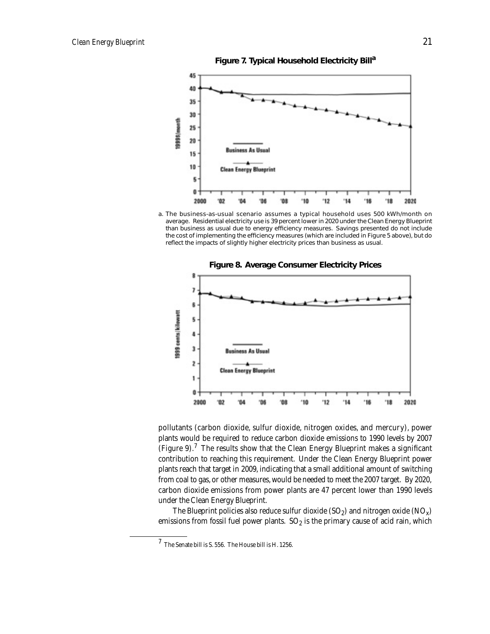**Figure 7. Typical Household Electricity Billa**



a. The business-as-usual scenario assumes a typical household uses 500 kWh/month on average. Residential electricity use is 39 percent lower in 2020 under the Clean Energy Blueprint than business as usual due to energy efficiency measures. Savings presented do not include the cost of implementing the efficiency measures (which are included in Figure 5 above), but do reflect the impacts of slightly higher electricity prices than business as usual.



pollutants (carbon dioxide, sulfur dioxide, nitrogen oxides, and mercury), power plants would be required to reduce carbon dioxide emissions to 1990 levels by 2007 (Figure 9).<sup>7</sup> The results show that the Clean Energy Blueprint makes a significant contribution to reaching this requirement. Under the Clean Energy Blueprint power plants reach that target in 2009, indicating that a small additional amount of switching from coal to gas, or other measures, would be needed to meet the 2007 target. By 2020, carbon dioxide emissions from power plants are 47 percent lower than 1990 levels under the Clean Energy Blueprint.

The Blueprint policies also reduce sulfur dioxide  $(SO_2)$  and nitrogen oxide  $(NO_x)$ emissions from fossil fuel power plants.  $SO_2$  is the primary cause of acid rain, which

 $^7$  The Senate bill is S. 556. The House bill is H. 1256.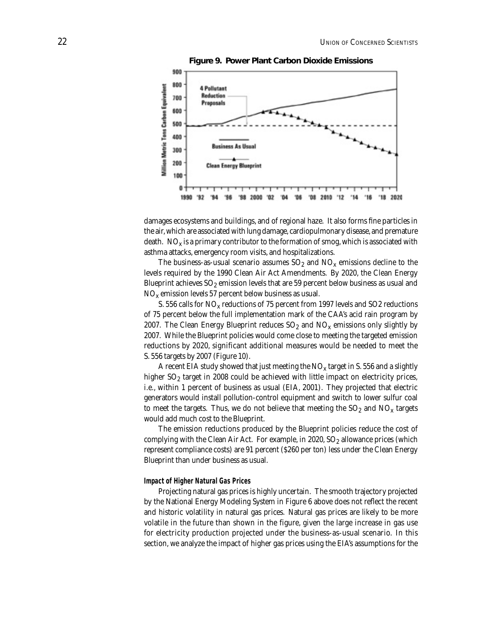

**Figure 9. Power Plant Carbon Dioxide Emissions**

damages ecosystems and buildings, and of regional haze. It also forms fine particles in the air, which are associated with lung damage, cardiopulmonary disease, and premature death.  $NO_x$  is a primary contributor to the formation of smog, which is associated with asthma attacks, emergency room visits, and hospitalizations.

The business-as-usual scenario assumes  $SO_2$  and  $NO_x$  emissions decline to the levels required by the 1990 Clean Air Act Amendments. By 2020, the Clean Energy Blueprint achieves  $SO_2$  emission levels that are 59 percent below business as usual and  $NO<sub>x</sub>$  emission levels 57 percent below business as usual.

S. 556 calls for  $NO_x$  reductions of 75 percent from 1997 levels and SO2 reductions of 75 percent below the full implementation mark of the CAA's acid rain program by 2007. The Clean Energy Blueprint reduces  $SO_2$  and  $NO_x$  emissions only slightly by 2007. While the Blueprint policies would come close to meeting the targeted emission reductions by 2020, significant additional measures would be needed to meet the S. 556 targets by 2007 (Figure 10).

A recent EIA study showed that just meeting the  $NO_x$  target in S. 556 and a slightly higher  $SO<sub>2</sub>$  target in 2008 could be achieved with little impact on electricity prices, i.e., within 1 percent of business as usual (EIA, 2001). They projected that electric generators would install pollution-control equipment and switch to lower sulfur coal to meet the targets. Thus, we do not believe that meeting the  $SO<sub>2</sub>$  and  $NO<sub>x</sub>$  targets would add much cost to the Blueprint.

The emission reductions produced by the Blueprint policies reduce the cost of complying with the Clean Air Act. For example, in  $2020$ ,  $SO<sub>2</sub>$  allowance prices (which represent compliance costs) are 91 percent (\$260 per ton) less under the Clean Energy Blueprint than under business as usual.

#### **Impact of Higher Natural Gas Prices**

Projecting natural gas prices is highly uncertain. The smooth trajectory projected by the National Energy Modeling System in Figure 6 above does not reflect the recent and historic volatility in natural gas prices. Natural gas prices are likely to be more volatile in the future than shown in the figure, given the large increase in gas use for electricity production projected under the business-as-usual scenario. In this section, we analyze the impact of higher gas prices using the EIA's assumptions for the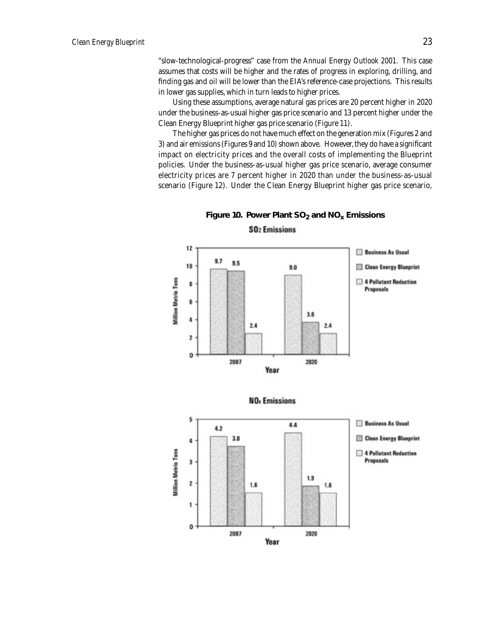"slow-technological-progress" case from the *Annual Energy Outlook 2001.* This case assumes that costs will be higher and the rates of progress in exploring, drilling, and finding gas and oil will be lower than the EIA's reference-case projections. This results in lower gas supplies, which in turn leads to higher prices.

Using these assumptions, average natural gas prices are 20 percent higher in 2020 under the business-as-usual higher gas price scenario and 13 percent higher under the Clean Energy Blueprint higher gas price scenario (Figure 11).

The higher gas prices do not have much effect on the generation mix (Figures 2 and 3) and air emissions (Figures 9 and 10) shown above. However, they do have a significant impact on electricity prices and the overall costs of implementing the Blueprint policies. Under the business-as-usual higher gas price scenario, average consumer electricity prices are 7 percent higher in 2020 than under the business-as-usual scenario (Figure 12). Under the Clean Energy Blueprint higher gas price scenario,





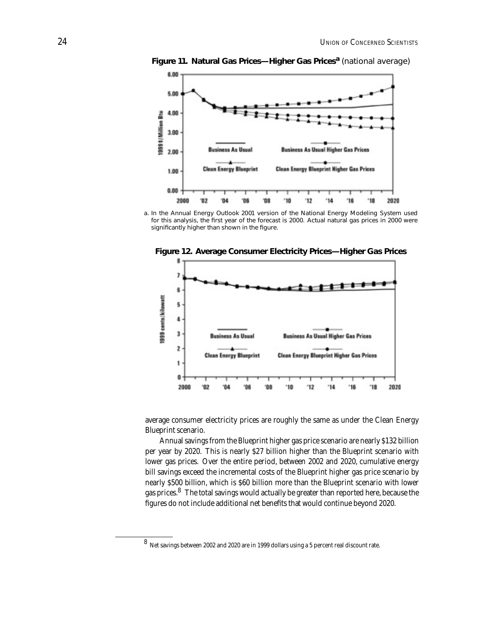

**Figure 11. Natural Gas Prices—Higher Gas Prices<sup>a</sup>** (national average)

a. In the *Annual Energy Outlook 2001* version of the National Energy Modeling System used for this analysis, the first year of the forecast is 2000. Actual natural gas prices in 2000 were significantly higher than shown in the figure.



**Figure 12. Average Consumer Electricity Prices—Higher Gas Prices**

average consumer electricity prices are roughly the same as under the Clean Energy Blueprint scenario.

Annual savings from the Blueprint higher gas price scenario are nearly \$132 billion per year by 2020. This is nearly \$27 billion higher than the Blueprint scenario with lower gas prices. Over the entire period, between 2002 and 2020, cumulative energy bill savings exceed the incremental costs of the Blueprint higher gas price scenario by nearly \$500 billion, which is \$60 billion more than the Blueprint scenario with lower gas prices.<sup>8</sup> The total savings would actually be greater than reported here, because the figures do not include additional net benefits that would continue beyond 2020.

<sup>8</sup> Net savings between 2002 and 2020 are in 1999 dollars using a 5 percent real discount rate.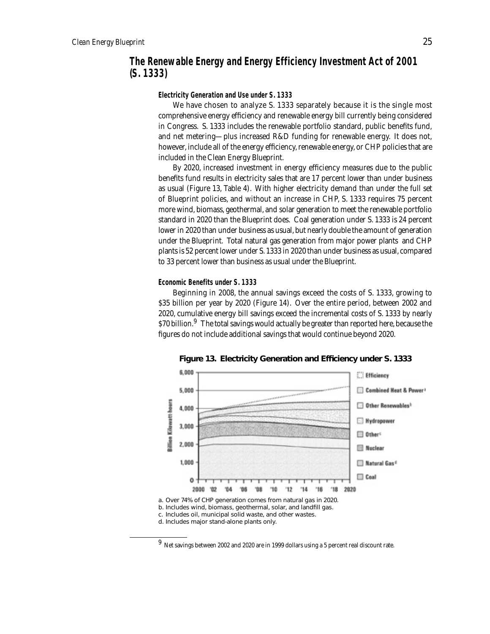## **The Renewable Energy and Energy Efficiency Investment Act of 2001 (S. 1333)**

**Electricity Generation and Use under S. 1333**

We have chosen to analyze S. 1333 separately because it is the single most comprehensive energy efficiency and renewable energy bill currently being considered in Congress. S. 1333 includes the renewable portfolio standard, public benefits fund, and net metering—plus increased R&D funding for renewable energy. It does not, however, include all of the energy efficiency, renewable energy, or CHP policies that are included in the Clean Energy Blueprint.

By 2020, increased investment in energy efficiency measures due to the public benefits fund results in electricity sales that are 17 percent lower than under business as usual (Figure 13, Table 4). With higher electricity demand than under the full set of Blueprint policies, and without an increase in CHP, S. 1333 requires 75 percent more wind, biomass, geothermal, and solar generation to meet the renewable portfolio standard in 2020 than the Blueprint does. Coal generation under S. 1333 is 24 percent lower in 2020 than under business as usual, but nearly double the amount of generation under the Blueprint. Total natural gas generation from major power plants and CHP plants is 52 percent lower under S. 1333 in 2020 than under business as usual, compared to 33 percent lower than business as usual under the Blueprint.

#### **Economic Benefits under S. 1333**

Beginning in 2008, the annual savings exceed the costs of S. 1333, growing to \$35 billion per year by 2020 (Figure 14). Over the entire period, between 2002 and 2020, cumulative energy bill savings exceed the incremental costs of S. 1333 by nearly \$70 billion. $^{9}$  The total savings would actually be greater than reported here, because the figures do not include additional savings that would continue beyond 2020.



**Figure 13. Electricity Generation and Efficiency under S. 1333** 

 $^9\,$  Net savings between 2002 and 2020 are in 1999 dollars using a 5 percent real discount rate.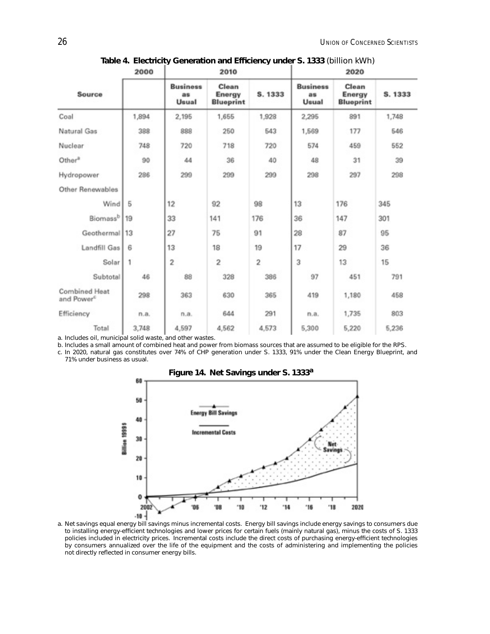|                                                | 2000  | 2010                            |                                     |                | 2020                           |                                     |         |  |
|------------------------------------------------|-------|---------------------------------|-------------------------------------|----------------|--------------------------------|-------------------------------------|---------|--|
| Source                                         |       | <b>Business</b><br>as.<br>Usual | Clean<br>Energy<br><b>Blueprint</b> | S. 1333        | <b>Business</b><br>as<br>Usual | Clean<br>Energy<br><b>Blueprint</b> | S. 1333 |  |
| Coal                                           | 1,894 | 2,195                           | 1,655                               | 1,928          | 2,295                          | 891                                 | 1,748   |  |
| Natural Gas                                    | 388   | 888                             | 250                                 | 543            | 1,569                          | 177                                 | 546     |  |
| Nuclear                                        | 748   | 720                             | 718                                 | 720            | 574                            | 459                                 | 552     |  |
| Other <sup>a</sup>                             | 90    | 44                              | 36                                  | 40             | 48                             | 31                                  | 39      |  |
| Hydropower                                     | 286   | 299                             | 299                                 | 299            | 298                            | 297                                 | 298     |  |
| Other Renewables                               |       |                                 |                                     |                |                                |                                     |         |  |
| Wind                                           | 5     | 12                              | 92                                  | 98             | 13                             | 176                                 | 345     |  |
| Biomassb                                       | 19    | 33                              | 141                                 | 176            | 36                             | 147                                 | 301     |  |
| Geothermal 13                                  |       | 27                              | 75                                  | 91             | 28                             | 87                                  | 95      |  |
| Landfill Gas                                   | 6     | 13                              | 18                                  | 19             | 17                             | 29                                  | 36      |  |
| Solar                                          | 1     | $\overline{2}$                  | $\overline{2}$                      | $\overline{2}$ | 3                              | 13                                  | 15      |  |
| Subtotal                                       | 46    | 88                              | 328                                 | 386            | 97                             | 451                                 | 791     |  |
| <b>Combined Heat</b><br>and Power <sup>c</sup> | 298   | 363                             | 630                                 | 365            | 419                            | 1,180                               | 458     |  |
| Efficiency                                     | n.a.  | n.a.                            | 644                                 | 291            | n.a.                           | 1,735                               | 803     |  |
| Total                                          | 3,748 | 4,597                           | 4,562                               | 4,573          | 5,300                          | 5,220                               | 5,236   |  |

Table 4. Electricity Generation and Efficiency under S. 1333 (billion kWh)

a. Includes oil, municipal solid waste, and other wastes.

b. Includes a small amount of combined heat and power from biomass sources that are assumed to be eligible for the RPS.

c. In 2020, natural gas constitutes over 74% of CHP generation under S. 1333, 91% under the Clean Energy Blueprint, and 71% under business as usual.



**Figure 14. Net Savings under S. 1333<sup>a</sup>**

a. Net savings equal energy bill savings minus incremental costs. Energy bill savings include energy savings to consumers due to installing energy-efficient technologies and lower prices for certain fuels (mainly natural gas), minus the costs of S. 1333 policies included in electricity prices. Incremental costs include the direct costs of purchasing energy-efficient technologies by consumers annualized over the life of the equipment and the costs of administering and implementing the policies not directly reflected in consumer energy bills.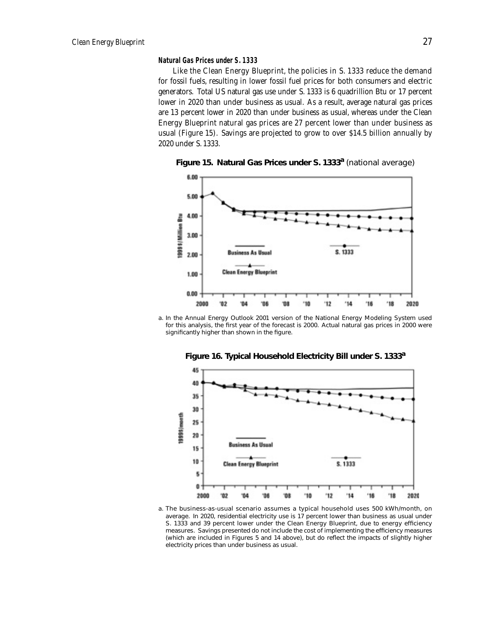#### **Natural Gas Prices under S. 1333**

Like the Clean Energy Blueprint, the policies in S. 1333 reduce the demand for fossil fuels, resulting in lower fossil fuel prices for both consumers and electric generators. Total US natural gas use under S. 1333 is 6 quadrillion Btu or 17 percent lower in 2020 than under business as usual. As a result, average natural gas prices are 13 percent lower in 2020 than under business as usual, whereas under the Clean Energy Blueprint natural gas prices are 27 percent lower than under business as usual (Figure 15). Savings are projected to grow to over \$14.5 billion annually by 2020 under S. 1333.



**Figure 15. Natural Gas Prices under S. 1333<sup>a</sup>** (national average)

a. In the *Annual Energy Outlook 2001* version of the National Energy Modeling System used for this analysis, the first year of the forecast is 2000. Actual natural gas prices in 2000 were significantly higher than shown in the figure.



**Figure 16. Typical Household Electricity Bill under S. 1333<sup>a</sup>**

a. The business-as-usual scenario assumes a typical household uses 500 kWh/month, on average. In 2020, residential electricity use is 17 percent lower than business as usual under S. 1333 and 39 percent lower under the Clean Energy Blueprint, due to energy efficiency measures. Savings presented do not include the cost of implementing the efficiency measures (which are included in Figures 5 and 14 above), but do reflect the impacts of slightly higher electricity prices than under business as usual.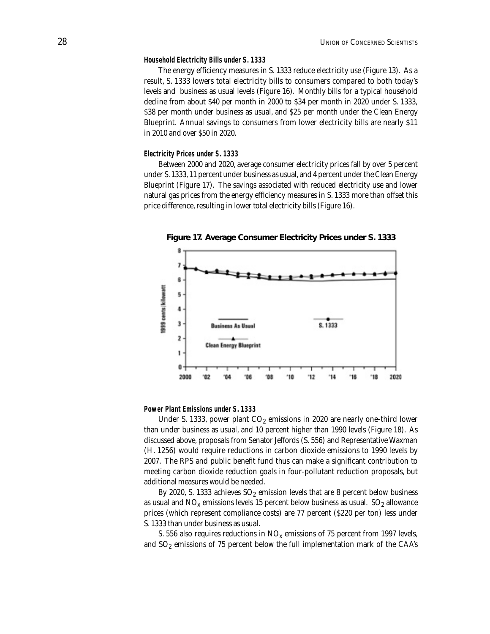#### **Household Electricity Bills under S. 1333**

The energy efficiency measures in S. 1333 reduce electricity use (Figure 13). As a result, S. 1333 lowers total electricity bills to consumers compared to both today's levels and business as usual levels (Figure 16). Monthly bills for a typical household decline from about \$40 per month in 2000 to \$34 per month in 2020 under S. 1333, \$38 per month under business as usual, and \$25 per month under the Clean Energy Blueprint. Annual savings to consumers from lower electricity bills are nearly \$11 in 2010 and over \$50 in 2020.

#### **Electricity Prices under S. 1333**

Between 2000 and 2020, average consumer electricity prices fall by over 5 percent under S. 1333, 11 percent under business as usual, and 4 percent under the Clean Energy Blueprint (Figure 17). The savings associated with reduced electricity use and lower natural gas prices from the energy efficiency measures in S. 1333 more than offset this price difference, resulting in lower total electricity bills (Figure 16).



**Figure 17. Average Consumer Electricity Prices under S. 1333**

#### **Power Plant Emissions under S. 1333**

Under S. 1333, power plant  $CO<sub>2</sub>$  emissions in 2020 are nearly one-third lower than under business as usual, and 10 percent higher than 1990 levels (Figure 18). As discussed above, proposals from Senator Jeffords (S. 556) and Representative Waxman (H. 1256) would require reductions in carbon dioxide emissions to 1990 levels by 2007. The RPS and public benefit fund thus can make a significant contribution to meeting carbon dioxide reduction goals in four-pollutant reduction proposals, but additional measures would be needed.

By 2020, S. 1333 achieves  $SO_2$  emission levels that are 8 percent below business as usual and  $NO_x$  emissions levels 15 percent below business as usual.  $SO_2$  allowance prices (which represent compliance costs) are 77 percent (\$220 per ton) less under S. 1333 than under business as usual.

S. 556 also requires reductions in  $NO<sub>x</sub>$  emissions of 75 percent from 1997 levels, and  $SO_2$  emissions of 75 percent below the full implementation mark of the CAA's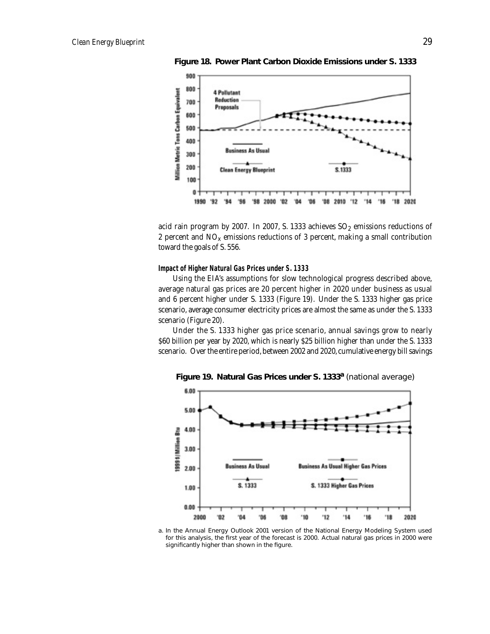

**Figure 18. Power Plant Carbon Dioxide Emissions under S. 1333**

acid rain program by 2007. In 2007, S. 1333 achieves  $SO_2$  emissions reductions of 2 percent and  $NO<sub>x</sub>$  emissions reductions of 3 percent, making a small contribution toward the goals of S. 556.

#### **Impact of Higher Natural Gas Prices under S. 1333**

Using the EIA's assumptions for slow technological progress described above, average natural gas prices are 20 percent higher in 2020 under business as usual and 6 percent higher under S. 1333 (Figure 19). Under the S. 1333 higher gas price scenario, average consumer electricity prices are almost the same as under the S. 1333 scenario (Figure 20).

Under the S. 1333 higher gas price scenario, annual savings grow to nearly \$60 billion per year by 2020, which is nearly \$25 billion higher than under the S. 1333 scenario. Over the entire period, between 2002 and 2020, cumulative energy bill savings



**Figure 19. Natural Gas Prices under S. 1333a** (national average)

a. In the *Annual Energy Outlook 2001* version of the National Energy Modeling System used for this analysis, the first year of the forecast is 2000. Actual natural gas prices in 2000 were significantly higher than shown in the figure.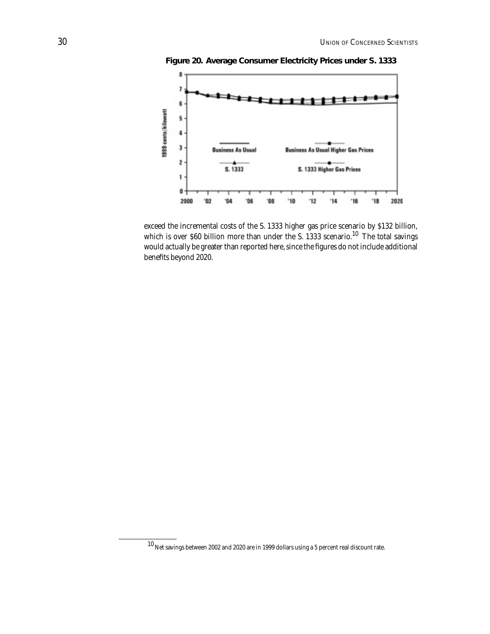

**Figure 20. Average Consumer Electricity Prices under S. 1333**

exceed the incremental costs of the S. 1333 higher gas price scenario by \$132 billion, which is over \$60 billion more than under the S. 1333 scenario.<sup>10</sup> The total savings would actually be greater than reported here, since the figures do not include additional benefits beyond 2020.

 $\overline{{}^{10}$  Net savings between 2002 and 2020 are in 1999 dollars using a 5 percent real discount rate.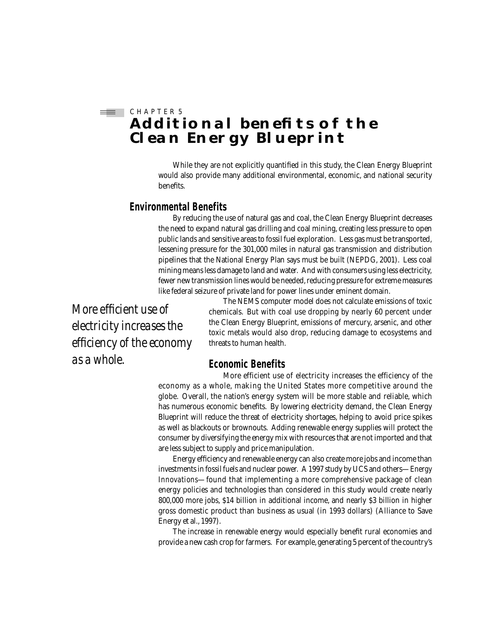## $\equiv$  CHAPTER 5 **ADDITIONAL BENEFITS OF THE Clean Energy Blueprint**

While they are not explicitly quantified in this study, the Clean Energy Blueprint would also provide many additional environmental, economic, and national security benefits.

## **Environmental Benefits**

By reducing the use of natural gas and coal, the Clean Energy Blueprint decreases the need to expand natural gas drilling and coal mining, creating less pressure to open public lands and sensitive areas to fossil fuel exploration. Less gas must be transported, lessening pressure for the 301,000 miles in natural gas transmission and distribution pipelines that the National Energy Plan says must be built (NEPDG, 2001). Less coal mining means less damage to land and water. And with consumers using less electricity, fewer new transmission lines would be needed, reducing pressure for extreme measures like federal seizure of private land for power lines under eminent domain.

*More efficient use of electricity increases the efficiency of the economy as a whole.* 

The NEMS computer model does not calculate emissions of toxic chemicals. But with coal use dropping by nearly 60 percent under the Clean Energy Blueprint, emissions of mercury, arsenic, and other toxic metals would also drop, reducing damage to ecosystems and threats to human health.

## **Economic Benefits**

More efficient use of electricity increases the efficiency of the economy as a whole, making the United States more competitive around the globe. Overall, the nation's energy system will be more stable and reliable, which has numerous economic benefits. By lowering electricity demand, the Clean Energy Blueprint will reduce the threat of electricity shortages, helping to avoid price spikes as well as blackouts or brownouts. Adding renewable energy supplies will protect the consumer by diversifying the energy mix with resources that are not imported and that are less subject to supply and price manipulation.

Energy efficiency and renewable energy can also create more jobs and income than investments in fossil fuels and nuclear power. A 1997 study by UCS and others—*Energy Innovations*—found that implementing a more comprehensive package of clean energy policies and technologies than considered in this study would create nearly 800,000 more jobs, \$14 billion in additional income, and nearly \$3 billion in higher gross domestic product than business as usual (in 1993 dollars) (Alliance to Save Energy et al., 1997).

The increase in renewable energy would especially benefit rural economies and provide a new cash crop for farmers. For example, generating 5 percent of the country's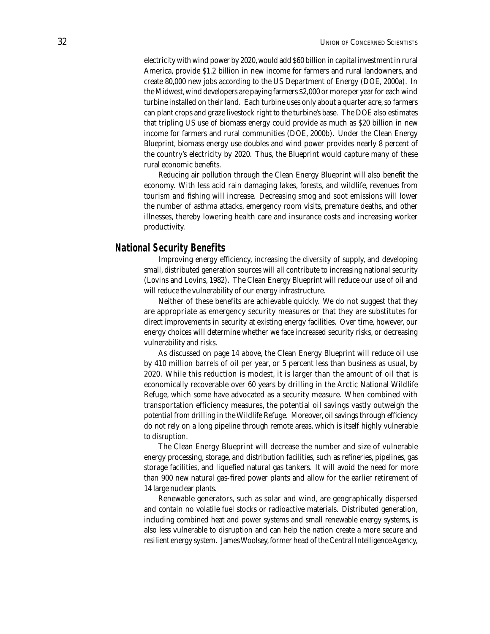electricity with wind power by 2020, would add \$60 billion in capital investment in rural America, provide \$1.2 billion in new income for farmers and rural landowners, and create 80,000 new jobs according to the US Department of Energy (DOE, 2000a). In the Midwest, wind developers are paying farmers \$2,000 or more per year for each wind turbine installed on their land. Each turbine uses only about a quarter acre, so farmers can plant crops and graze livestock right to the turbine's base. The DOE also estimates that tripling US use of biomass energy could provide as much as \$20 billion in new income for farmers and rural communities (DOE, 2000b). Under the Clean Energy Blueprint, biomass energy use doubles and wind power provides nearly 8 percent of the country's electricity by 2020. Thus, the Blueprint would capture many of these rural economic benefits.

Reducing air pollution through the Clean Energy Blueprint will also benefit the economy. With less acid rain damaging lakes, forests, and wildlife, revenues from tourism and fishing will increase. Decreasing smog and soot emissions will lower the number of asthma attacks, emergency room visits, premature deaths, and other illnesses, thereby lowering health care and insurance costs and increasing worker productivity.

### **National Security Benefits**

Improving energy efficiency, increasing the diversity of supply, and developing small, distributed generation sources will all contribute to increasing national security (Lovins and Lovins, 1982). The Clean Energy Blueprint will reduce our use of oil and will reduce the vulnerability of our energy infrastructure.

Neither of these benefits are achievable quickly. We do not suggest that they are appropriate as emergency security measures or that they are substitutes for direct improvements in security at existing energy facilities. Over time, however, our energy choices will determine whether we face increased security risks, or decreasing vulnerability and risks.

As discussed on page 14 above, the Clean Energy Blueprint will reduce oil use by 410 million barrels of oil per year, or 5 percent less than business as usual, by 2020. While this reduction is modest, it is larger than the amount of oil that is economically recoverable over 60 years by drilling in the Arctic National Wildlife Refuge, which some have advocated as a security measure. When combined with transportation efficiency measures, the potential oil savings vastly outweigh the potential from drilling in the Wildlife Refuge. Moreover, oil savings through efficiency do not rely on a long pipeline through remote areas, which is itself highly vulnerable to disruption.

The Clean Energy Blueprint will decrease the number and size of vulnerable energy processing, storage, and distribution facilities, such as refineries, pipelines, gas storage facilities, and liquefied natural gas tankers. It will avoid the need for more than 900 new natural gas-fired power plants and allow for the earlier retirement of 14 large nuclear plants.

Renewable generators, such as solar and wind, are geographically dispersed and contain no volatile fuel stocks or radioactive materials. Distributed generation, including combined heat and power systems and small renewable energy systems, is also less vulnerable to disruption and can help the nation create a more secure and resilient energy system. James Woolsey, former head of the Central Intelligence Agency,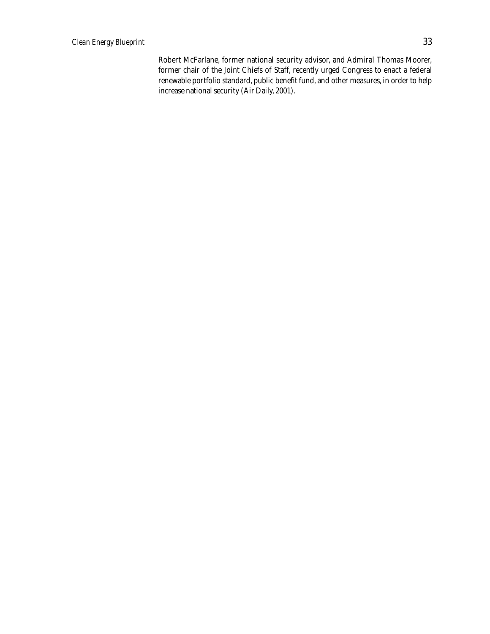Robert McFarlane, former national security advisor, and Admiral Thomas Moorer, former chair of the Joint Chiefs of Staff, recently urged Congress to enact a federal renewable portfolio standard, public benefit fund, and other measures, in order to help increase national security (Air Daily, 2001).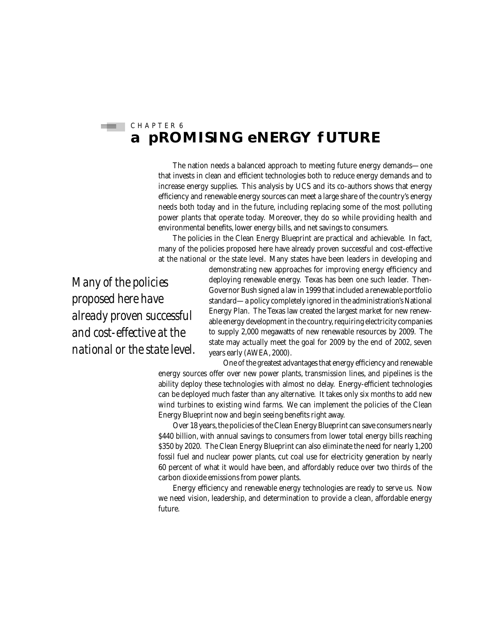#### C H A P T E R 6 丰山 **a pROMISING eNERGY fUTURE**

The nation needs a balanced approach to meeting future energy demands—one that invests in clean and efficient technologies both to reduce energy demands and to increase energy supplies. This analysis by UCS and its co-authors shows that energy efficiency and renewable energy sources can meet a large share of the country's energy needs both today and in the future, including replacing some of the most polluting power plants that operate today. Moreover, they do so while providing health and environmental benefits, lower energy bills, and net savings to consumers.

The policies in the Clean Energy Blueprint are practical and achievable. In fact, many of the policies proposed here have already proven successful and cost-effective at the national or the state level. Many states have been leaders in developing and

*Many of the policies proposed here have already proven successful and cost-effective at the national or the state level.* 

demonstrating new approaches for improving energy efficiency and deploying renewable energy. Texas has been one such leader. Then-Governor Bush signed a law in 1999 that included a renewable portfolio standard—a policy completely ignored in the administration's National Energy Plan. The Texas law created the largest market for new renewable energy development in the country, requiring electricity companies to supply 2,000 megawatts of new renewable resources by 2009. The state may actually meet the goal for 2009 by the end of 2002, seven years early (AWEA, 2000).

One of the greatest advantages that energy efficiency and renewable energy sources offer over new power plants, transmission lines, and pipelines is the ability deploy these technologies with almost no delay. Energy-efficient technologies can be deployed much faster than any alternative. It takes only six months to add new wind turbines to existing wind farms. We can implement the policies of the Clean Energy Blueprint now and begin seeing benefits right away.

Over 18 years, the policies of the Clean Energy Blueprint can save consumers nearly \$440 billion, with annual savings to consumers from lower total energy bills reaching \$350 by 2020. The Clean Energy Blueprint can also eliminate the need for nearly 1,200 fossil fuel and nuclear power plants, cut coal use for electricity generation by nearly 60 percent of what it would have been, and affordably reduce over two thirds of the carbon dioxide emissions from power plants.

Energy efficiency and renewable energy technologies are ready to serve us. Now we need vision, leadership, and determination to provide a clean, affordable energy future.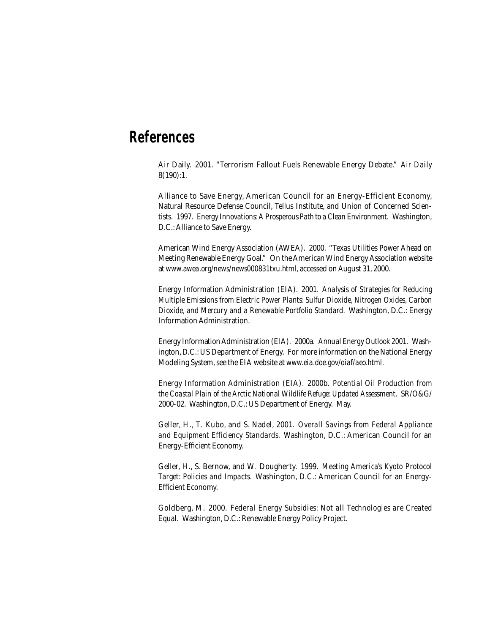## **References**

Air Daily. 2001. "Terrorism Fallout Fuels Renewable Energy Debate." *Air Daily*  8(190):1.

Alliance to Save Energy, American Council for an Energy-Efficient Economy, Natural Resource Defense Council, Tellus Institute, and Union of Concerned Scientists. 1997. *Energy Innovations: A Prosperous Path to a Clean Environment.* Washington, D.C.: Alliance to Save Energy.

American Wind Energy Association (AWEA). 2000. "Texas Utilities Power Ahead on Meeting Renewable Energy Goal." On the American Wind Energy Association website at *www.awea.org/news/news000831txu.html,* accessed on August 31, 2000.

Energy Information Administration (EIA). 2001. *Analysis of Strategies for Reducing Multiple Emissions from Electric Power Plants: Sulfur Dioxide, Nitrogen Oxides, Carbon Dioxide, and Mercury and a Renewable Portfolio Standard.* Washington, D.C.: Energy Information Administration.

Energy Information Administration (EIA). 2000a. *Annual Energy Outlook 2001.* Washington, D.C.: US Department of Energy. For more information on the National Energy Modeling System, see the EIA website at *www.eia.doe.gov/oiaf/aeo.html.*

Energy Information Administration (EIA). 2000b. *Potential Oil Production from the Coastal Plain of the Arctic National Wildlife Refuge: Updated Assessment.* SR/O&G/ 2000-02. Washington, D.C.: US Department of Energy. May.

Geller, H., T. Kubo, and S. Nadel, 2001. *Overall Savings from Federal Appliance and Equipment Efficiency Standards.* Washington, D.C.: American Council for an Energy-Efficient Economy.

Geller, H., S. Bernow, and W. Dougherty. 1999. *Meeting America's Kyoto Protocol Target: Policies and Impacts.* Washington, D.C.: American Council for an Energy-Efficient Economy.

Goldberg, M. 2000. *Federal Energy Subsidies: Not all Technologies are Created Equal.* Washington, D.C.: Renewable Energy Policy Project.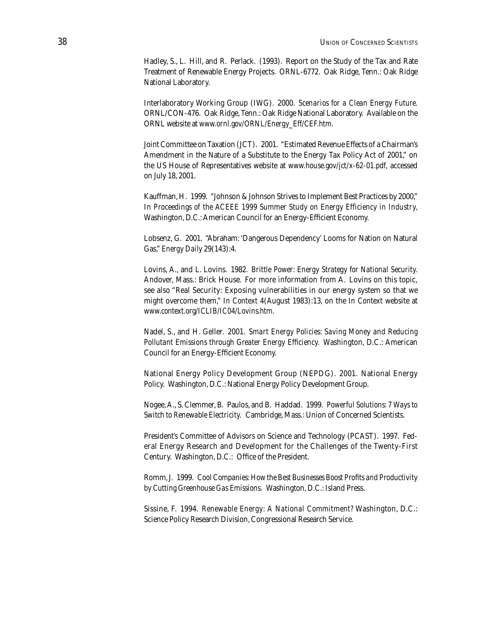Hadley, S., L. Hill, and R. Perlack. (1993). Report on the Study of the Tax and Rate Treatment of Renewable Energy Projects. ORNL-6772. Oak Ridge, Tenn.: Oak Ridge National Laboratory.

Interlaboratory Working Group (IWG). 2000. *Scenarios for a Clean Energy Future.* ORNL/CON-476. Oak Ridge, Tenn.: Oak Ridge National Laboratory. Available on the ORNL website at *www.ornl.gov/ORNL/Energy\_Eff/CEF.htm.*

Joint Committee on Taxation (JCT). 2001. "Estimated Revenue Effects of a Chairman's Amendment in the Nature of a Substitute to the Energy Tax Policy Act of 2001," on the US House of Representatives website at *www.house.gov/jct/x-62-01.pdf,* accessed on July 18, 2001.

Kauffman, H. 1999. "Johnson & Johnson Strives to Implement Best Practices by 2000," In *Proceedings of the ACEEE 1999 Summer Study on Energy Efficiency in Industry,*  Washington, D.C.: American Council for an Energy-Efficient Economy.

Lobsenz, G. 2001. "Abraham: 'Dangerous Dependency' Looms for Nation on Natural Gas," *Energy Daily* 29(143):4.

Lovins, A., and L. Lovins. 1982. *Brittle Power: Energy Strategy for National Security.* Andover, Mass.: Brick House. For more information from A. Lovins on this topic, see also "Real Security: Exposing vulnerabilities in our energy system so that we might overcome them," *In Context* 4(August 1983):13, on the *In Context* website at *www.context.org/ICLIB/IC04/Lovins.htm*.

Nadel, S., and H. Geller. 2001. *Smart Energy Policies: Saving Money and Reducing Pollutant Emissions through Greater Energy Efficiency.* Washington, D.C.: American Council for an Energy-Efficient Economy.

National Energy Policy Development Group (NEPDG). 2001. National Energy Policy. Washington, D.C.: National Energy Policy Development Group.

Nogee, A., S. Clemmer, B. Paulos, and B. Haddad. 1999. *Powerful Solutions: 7 Ways to Switch to Renewable Electricity.* Cambridge, Mass.: Union of Concerned Scientists.

President's Committee of Advisors on Science and Technology (PCAST). 1997. Federal Energy Research and Development for the Challenges of the Twenty-First Century. Washington, D.C.: Office of the President.

Romm, J. 1999. *Cool Companies: How the Best Businesses Boost Profits and Productivity by Cutting Greenhouse Gas Emissions.* Washington, D.C.: Island Press.

Sissine, F. 1994. *Renewable Energy: A National Commitment?* Washington, D.C.: Science Policy Research Division, Congressional Research Service.